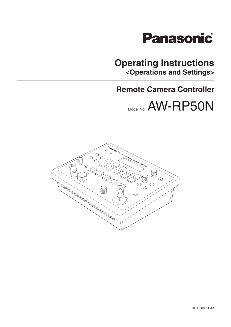

## **Operating Instructions <Operations and Settings>**

## **Remote Camera Controller**

Model No. AW-RP50N

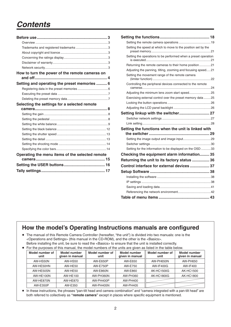# *Contents*

| How to turn the power of the remote cameras on  |
|-------------------------------------------------|
| Setting and operating the preset memories  6    |
|                                                 |
|                                                 |
|                                                 |
| Selecting the settings for a selected remote    |
|                                                 |
|                                                 |
|                                                 |
|                                                 |
|                                                 |
|                                                 |
|                                                 |
|                                                 |
|                                                 |
|                                                 |
| Operating the menu items of the selected remote |
|                                                 |
|                                                 |

| Setting the speed at which to move to the position set by the  |  |
|----------------------------------------------------------------|--|
| Setting the operations to be performed when a preset operation |  |
| Returning the remote cameras to their home position 21         |  |
| Adjusting the panning, tilting, zooming and focusing speed21   |  |
| Setting the movement range of the remote camera                |  |
| Controlling the peripheral devices connected to the remote     |  |
|                                                                |  |
| Exercising external control over the preset memory data 25     |  |
|                                                                |  |
|                                                                |  |
|                                                                |  |
|                                                                |  |
|                                                                |  |
|                                                                |  |
| Setting the functions when the unit is linked with             |  |
|                                                                |  |
|                                                                |  |
|                                                                |  |
| Setting for the information to be displayed on the OSD 33      |  |
| Checking the equipment alarm information 35                    |  |
| Returning the unit to its factory status  36                   |  |
| Control interface for external devices  37                     |  |
|                                                                |  |
|                                                                |  |
|                                                                |  |
|                                                                |  |
|                                                                |  |

### **How the model's Operating Instructions manuals are configured**

- The manual of this Remote Camera Controller (hereafter, "the unit") is divided into two manuals: one is the <Operations and Settings> (this manual in the CD-ROM), and the other is the <Basics>. Before installing the unit, be sure to read the <Basics> to ensure that the unit is installed correctly.
- For the purposes of this manual, the model numbers of the units are given as listed in the table below.

| Model number of<br>unit | <b>Model number</b><br>given in manual | Model number of<br>unit | Model number<br>given in manual | Model number of<br>unit | <b>Model number</b><br>given in manual |
|-------------------------|----------------------------------------|-------------------------|---------------------------------|-------------------------|----------------------------------------|
| AW-HS50N                | <b>AW-HS50</b>                         | AW-E650P                | AW-E650                         | AW-PH650N               | AW-PH650                               |
| AW-HE50HN               | AW-HE50                                | <b>AW-E750P</b>         | AW-E750                         | <b>AW-IF400G</b>        | AW-IF400                               |
| AW-HE50SN               | AW-HE50                                | <b>AW-E860N</b>         | AW-E860                         | AK-HC1500G              | AK-HC1500                              |
| AW-HE100N               | <b>AW-HE100</b>                        | AW-PH360N               | AW-PH360                        | AK-HC1800G              | AK-HC1800                              |
| AW-HE870N               | AW-HE870                               | AW-PH400P               | AW-PH400                        |                         |                                        |
| AW-E350P                | AW-E350                                | <b>AW-PH405N</b>        | <b>AW-PH405</b>                 |                         |                                        |

 In these instructions, the phrases "pan-tilt head and camera combination" and "camera integrated with a pan-tilt head" are both referred to collectively as **"remote camera"** except in places where specific equipment is mentioned.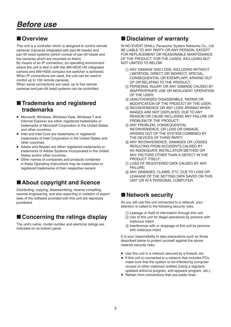## **Overview**

This unit is a controller which is designed to control remote cameras (cameras integrated with pan-tilt heads) and pan-tilt head systems (which consist of pan-tilt heads and the cameras which are mounted on them).

By means of an IP connection, an operating environment where the unit is tied in with the AW-HE50 HD integrated camera and AW-HS50 compact live switcher is achieved. When IP connections are used, the unit can be used to control up to 100 remote cameras.

When serial connections are used, up to five remote cameras and pan-tilt head systems can be controlled.

## $\blacksquare$  **Trademarks and registered trademarks**

- Microsoft, Windows, Windows Vista, Windows 7 and Internet Explorer are either registered trademarks or trademarks of Microsoft Corporation in the United States and other countries.
- Intel and Intel Core are trademarks or registered trademarks of Intel Corporation in the United States and other countries.
- Adobe and Reader are either registered trademarks or trademarks of Adobe Systems Incorporated in the United States and/or other countries.
- Other names of companies and products contained in these Operating Instructions may be trademarks or registered trademarks of their respective owners.

## ■ About copyright and licence

Distributing, copying, disassembling, reverse compiling, reverse engineering, and also exporting in violation of export laws of the software provided with this unit are expressly prohibited.

## ■ Concerning the ratings display

The unit's name, model number and electrical ratings are indicated on its bottom panel.

## **Disclaimer of warranty**

IN NO EVENT SHALL Panasonic System Networks Co., Ltd. BE LIABLE TO ANY PARTY OR ANY PERSON, EXCEPT FOR REPLACEMENT OR REASONABLE MAINTENANCE OF THE PRODUCT, FOR THE CASES, INCLUDING BUT NOT LIMITED TO BELOW:

- (1) ANY DAMAGE AND LOSS, INCLUDING WITHOUT LIMITATION, DIRECT OR INDIRECT, SPECIAL, CONSEQUENTIAL OR EXEMPLARY, ARISING OUT OF OR RELATING TO THE PRODUCT;
- PERSONAL INJURY OR ANY DAMAGE CAUSED BY INAPPROPRIATE USE OR NEGLIGENT OPERATION OF THE USER;
- UNAUTHORIZED DISASSEMBLE, REPAIR OR MODIFICATION OF THE PRODUCT BY THE USER;
- (4) INCONVENIENCE OR ANY LOSS ARISING WHEN IMAGES ARE NOT DISPLAYED, DUE TO ANY REASON OR CAUSE INCLUDING ANY FAILURE OR PROBLEM OF THE PRODUCT;
- (5) ANY PROBLEM, CONSEQUENTIAL INCONVENIENCE, OR LOSS OR DAMAGE, ARISING OUT OF THE SYSTEM COMBINED BY THE DEVICES OF THIRD PARTY;
- ANY INCONVENIENCE, DAMAGES OR LOSSES RESULTING FROM ACCIDENTS CAUSED BY AN INADEQUATE INSTALLATION METHOD OR ANY FACTORS OTHER THAN A DEFECT IN THE PRODUCT ITSELF;
- LOSS OF REGISTERED DATA CAUSED BY ANY FAILURE;
- ANY DAMAGES, CLAIMS, ETC. DUE TO LOSS OR LEAKAGE OF THE SETTING DATA SAVED ON THIS UNIT OR IN A PERSONAL COMPUTER.

## **Network security**

As you will use this unit connected to a network, your attention is called to the following security risks.

- Leakage or theft of information through this unit
- Use of this unit for illegal operations by persons with malicious intent
- (3) Interference with or stoppage of this unit by persons with malicious intent

It is your responsibility to take precautions such as those described below to protect yourself against the above network security risks.

- Use this unit in a network secured by a firewall, etc.
- If this unit is connected to a network that includes PCs, make sure that the system is not infected by computer viruses or other malicious entities (using a regularly updated antivirus program, anti-spyware program, etc.).
- Refrain from connections that use public lines.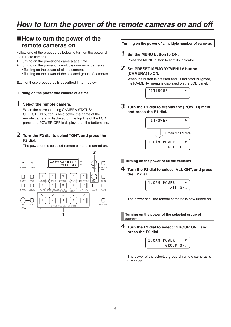## ■ How to turn the power of the **remote cameras on**

Follow one of the procedures below to turn on the power of the remote cameras.

- Turning on the power one camera at a time
- Turning on the power of a multiple number of cameras
	- Turning on the power of all the cameras
	- Turning on the power of the selected group of cameras

Each of these procedures is described in turn below.

#### **Turning on the power one camera at a time**

#### 1 **Select the remote camera.**

When the corresponding CAMERA STATUS/ SELECTION button is held down, the name of the remote camera is displayed on the top line of the LCD panel and POWER OFF is displayed on the bottom line.

#### 2 **Turn the F2 dial to select "ON", and press the F2 dial.**

The power of the selected remote camera is turned on.



**Turning on the power of a multiple number of cameras**

#### 1 **Set the MENU button to ON.**

Press the MENU button to light its indicator.

2 **Set PRESET MEMORY/MENU 8 button (CAMERA) to ON.**

When the button is pressed and its indicator is lighted, the [CAMERA] menu is displayed on the LCD panel.



3 **Turn the F1 dial to display the [POWER] menu, and press the F1 dial.**



**Turning on the power of all the cameras**

4 **Turn the F2 dial to select "ALL ON", and press the F2 dial.**

| 1.CAM POWER |  |
|-------------|--|
| ALL ON!     |  |

The power of all the remote cameras is now turned on.

**Turning on the power of the selected group of cameras**

4 **Turn the F2 dial to select "GROUP ON", and press the F2 dial.**



The power of the selected group of remote cameras is turned on.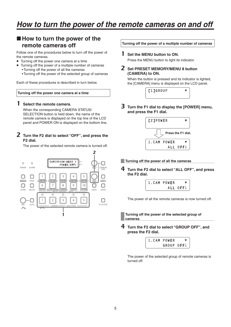### ■ How to turn the power of the **remote cameras off**

Follow one of the procedures below to turn off the power of the remote cameras.

- Turning off the power one camera at a time
- Turning off the power of a multiple number of cameras
	- Turning off the power of all the cameras
	- Turning off the power of the selected group of cameras

Each of these procedures is described in turn below.

#### **Turning off the power one camera at a time**

#### 1 **Select the remote camera.**

When the corresponding CAMERA STATUS/ SELECTION button is held down, the name of the remote camera is displayed on the top line of the LCD panel and POWER ON is displayed on the bottom line.

#### 2 **Turn the F2 dial to select "OFF", and press the F2 dial.**

The power of the selected remote camera is turned off.



**Turning off the power of a multiple number of cameras**

#### 1 **Set the MENU button to ON.**

Press the MENU button to light its indicator.

2 **Set PRESET MEMORY/MENU 8 button (CAMERA) to ON.**

When the button is pressed and its indicator is lighted, the [CAMERA] menu is displayed on the LCD panel.



3 **Turn the F1 dial to display the [POWER] menu, and press the F1 dial.**



**Turning off the power of all the cameras**

4 **Turn the F2 dial to select "ALL OFF", and press the F2 dial.**

| 1.CAM POWER |          |
|-------------|----------|
|             | ALL OFF! |

The power of all the remote cameras is now turned off.

**Turning off the power of the selected group of cameras**

4 **Turn the F2 dial to select "GROUP OFF", and press the F2 dial.**



The power of the selected group of remote cameras is turned off.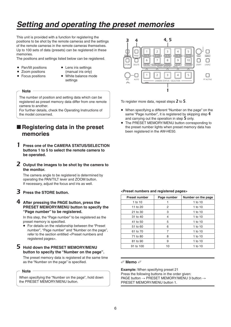# *Setting and operating the preset memories*

This unit is provided with a function for registering the positions to be shot by the remote cameras and the settings of the remote cameras in the remote cameras themselves. Up to 100 sets of data (presets) can be registered in these memories.

The positions and settings listed below can be registered.

- Pan/tilt positions
- Lens iris settings
- Zoom positions
- (manual iris only)
- Focus positions
- White balance mode
- settings

#### **Note**

The number of position and setting data which can be registered as preset memory data differ from one remote camera to another.

For further details, check the Operating Instructions of the model concerned.

## **Registering data in the preset memories**

- 1 **Press one of the CAMERA STATUS/SELECTION buttons 1 to 5 to select the remote camera to be operated.**
- 2 **Output the images to be shot by the camera to the monitor.**

The camera angle to be registered is determined by operating the PAN/TILT lever and ZOOM button. If necessary, adjust the focus and iris as well.

- 3 **Press the STORE button.**
- 4 **After pressing the PAGE button, press the PRESET MEMORY/MENU button to specify the "Page number" to be registered.**

In this step, the "Page number" to be registered as the preset memory is specified.

 For details on the relationship between the "Preset number", "Page number" and "Number on the page", refer to the section entitled <Preset numbers and registered pages>.

#### 5 **Hold down the PRESET MEMORY/MENU button to specify the "Number on the page".**

The preset memory data is registered at the same time as the "Number on the page" is specified.

**Note**

When specifying the "Number on the page", hold down the PRESET MEMORY/MENU button.



To register more data, repeat steps 2 to 5.

- When specifying a different "Number on the page" on the same "Page number", it is registered by skipping step 4 and carrying out the operation in step 5 only.
- The PRESET MEMORY/MENU button corresponding to the preset number lights when preset memory data has been registered in the AW-HE50.

#### **<Preset numbers and registered pages>**

| <b>Preset number</b> | Page number | Number on the page |
|----------------------|-------------|--------------------|
| 1 to 10              |             | 1 to 10            |
| 11 to 20             | 2           | 1 to 10            |
| 21 to 30             | 3           | 1 to 10            |
| 31 to 40             | 4           | 1 to 10            |
| 41 to 50             | 5           | 1 to 10            |
| 51 to 60             | 6           | 1 to 10            |
| 61 to 70             | 7           | 1 to 10            |
| 71 to 80             | 8           | 1 to $10$          |
| 81 to 90             | 9           | 1 to 10            |
| 91 to 100            | 10          | 1 to 10            |

#### **Memo**

**Example:** When specifying preset 21 Press the following buttons in the order given: PAGE button  $\rightarrow$  PRESET MEMORY/MENU 3 button  $\rightarrow$ PRESET MEMORY/MENU button 1.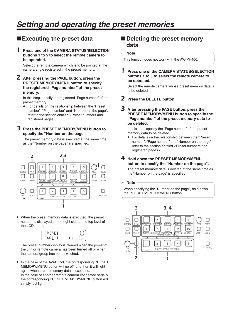# *Setting and operating the preset memories*

## **Executing the preset data**

#### 1 **Press one of the CAMERA STATUS/SELECTION buttons 1 to 5 to select the remote camera to be operated.**

Select the remote camera which is to be pointed at the camera angle registered in the preset memory.

2 **After pressing the PAGE button, press the PRESET MEMORY/MENU button to specify the registered "Page number" of the preset memory.**

In this step, specify the registered "Page number" of the preset memory.

 For details on the relationship between the "Preset number", "Page number" and "Number on the page", refer to the section entitled <Preset numbers and registered pages>.

#### 3 **Press the PRESET MEMORY/MENU button to specify the "Number on the page".**

The preset memory data is executed at the same time as the "Number on the page" are specified.



 When the preset memory data is executed, the preset number is displayed on the right side of the top level of the LCD panel.



The preset number display is cleared when the power of the unit or remote camera has been turned off or when the camera group has been switched.

• In the case of the AW-HE50, the corresponding PRESET MEMORY/MENU button will go off, and then it will light again when preset memory data is executed. In the case of another remote camera connected serially, the corresponding PRESET MEMORY/MENU button will simply just light.

### ■ Deleting the preset memory **data**

#### **Note**

**Note**

This function does not work with the AW-PH400.

#### 1 **Press one of the CAMERA STATUS/SELECTION buttons 1 to 5 to select the remote camera to be operated.**

Select the remote camera whose preset memory data is to be deleted.

- 2 **Press the DELETE button.**
- 3 **After pressing the PAGE button, press the PRESET MEMORY/MENU button to specify the "Page number" of the preset memory data to be deleted.**

In this step, specify the "Page number" of the preset memory data to be deleted.

 For details on the relationship between the "Preset number", "Page number" and "Number on the page", refer to the section entitled <Preset numbers and registered pages>.

#### 4 **Hold down the PRESET MEMORY/MENU button to specify the "Number on the page".**

The preset memory data is deleted at the same time as the "Number on the page" is specified.

When specifying the "Number on the page", hold down the PRESET MEMORY/MENU button.

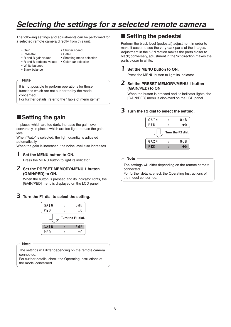The following settings and adjustments can be performed for a selected remote camera directly from this unit.

- Gain • Pedestal
- Shutter speed • Detail
- 
- R and B gain values • R and B pedestal values
- Shooting mode selection • Color bar selection
- White balance
- Black balance

#### **Note**

It is not possible to perform operations for those functions which are not supported by the model concerned.

For further details, refer to the "Table of menu items".

## ■ Setting the gain

In places which are too dark, increase the gain level; conversely, in places which are too light, reduce the gain level.

When "Auto" is selected, the light quantity is adjusted automatically.

When the gain is increased, the noise level also increases.

#### 1 **Set the MENU button to ON.**

Press the MENU button to light its indicator.

#### 2 **Set the PRESET MEMORY/MENU 1 button (GAIN/PED) to ON.**

When the button is pressed and its indicator lights, the [GAIN/PED] menu is displayed on the LCD panel.

#### 3 **Turn the F1 dial to select the setting.**



#### **Note**

The settings will differ depending on the remote camera connected.

For further details, check the Operating Instructions of the model concerned.

### ■ Setting the pedestal

Perform the black level (pedestal) adjustment in order to make it easier to see the very dark parts of the images. Adjustment in the "–" direction makes the parts closer to black; conversely, adjustment in the "+" direction makes the parts closer to white.

#### 1 **Set the MENU button to ON.**

Press the MENU button to light its indicator.

#### 2 **Set the PRESET MEMORY/MENU 1 button (GAIN/PED) to ON.**

When the button is pressed and its indicator lights, the [GAIN/PED] menu is displayed on the LCD panel.

#### 3 **Turn the F2 dial to select the setting.**



**Note**

The settings will differ depending on the remote camera connected.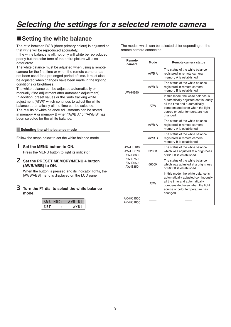## ■ Setting the white balance

The ratio between RGB (three primary colors) is adjusted so that white will be reproduced accurately.

If the white balance is off, not only will white be reproduced poorly but the color tone of the entire picture will also deteriorate.

The white balance must be adjusted when using a remote camera for the first time or when the remote camera has not been used for a prolonged period of time. It must also be adjusted when changes have been made in the lighting conditions or brightness.

The white balance can be adjusted automatically or manually (fine adjustment after automatic adjustment). In addition, preset values or the "auto tracking white adjustment (ATW)" which continues to adjust the white balance automatically all the time can be selected. The results of white balance adjustments can be stored in memory A or memory B when "AWB A" or "AWB B" has been selected for the white balance.

#### **Selecting the white balance mode**

Follow the steps below to set the white balance mode.

#### 1 **Set the MENU button to ON.**

Press the MENU button to light its indicator.

#### 2 **Set the PRESET MEMORY/MENU 4 button (AWB/ABB) to ON.**

When the button is pressed and its indicator lights, the [AWB/ABB] menu is displayed on the LCD panel.

#### 3 **Turn the F1 dial to select the white balance mode.**

| AWB | MOD: | BI<br>IB.<br>А<br>w |
|-----|------|---------------------|
|     |      | IB L                |

The modes which can be selected differ depending on the remote camera connected.

| Remote<br>camera                                                               | Mode       | Remote camera status                                                                                                                                                                          |
|--------------------------------------------------------------------------------|------------|-----------------------------------------------------------------------------------------------------------------------------------------------------------------------------------------------|
|                                                                                | AWB A      | The status of the white balance<br>registered in remote camera<br>memory A is established.                                                                                                    |
| AW-HF50                                                                        | AWB B      | The status of the white balance<br>registered in remote camera<br>memory B is established.                                                                                                    |
|                                                                                | <b>ATW</b> | In this mode, the white balance is<br>automatically adjusted continuously<br>all the time and automatically<br>compensated even when the light<br>source or color temperature has<br>changed. |
| <b>AW-HE100</b><br><b>AW-HE870</b><br>AW-E860<br>AW-E750<br>AW-E650<br>AW-E350 | AWB A      | The status of the white balance<br>registered in remote camera<br>memory A is established.                                                                                                    |
|                                                                                | AWB B      | The status of the white balance<br>registered in remote camera<br>memory B is established.                                                                                                    |
|                                                                                | 3200K      | The status of the white balance<br>which was adjusted at a brightness<br>of 3200K is established.                                                                                             |
|                                                                                | 5600K      | The status of the white balance<br>which was adjusted at a brightness<br>of 5600K is established.                                                                                             |
|                                                                                | <b>ATW</b> | In this mode, the white balance is<br>automatically adjusted continuously<br>all the time and automatically<br>compensated even when the light<br>source or color temperature has<br>changed. |
| <b>AK-HC1500</b><br>AK-HC1800                                                  |            |                                                                                                                                                                                               |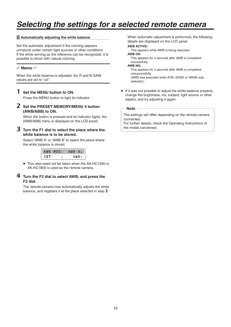#### **Automatically adjusting the white balance**

Set the automatic adjustment if the coloring appears unnatural under certain light sources or other conditions. If the white serving as the reference can be recognized, it is possible to shoot with natural coloring.

#### **Memo**

When the white balance is adjusted, the R and B GAIN values are set to "+0".

#### 1 **Set the MENU button to ON.**

Press the MENU button to light its indicator.

#### 2 **Set the PRESET MEMORY/MENU 4 button (AWB/ABB) to ON.**

When the button is pressed and its indicator lights, the [AWB/ABB] menu is displayed on the LCD panel.

#### 3 **Turn the F1 dial to select the place where the white balance is to be stored.**

Select "AWB A" or "AWB B" to select the place where the white balance is stored.

|     | AWB MOD: | AWB AJ |  |
|-----|----------|--------|--|
| SFT |          | AWBI.  |  |

 This step need not be taken when the AK-HC1500 or AK-HC1800 is used as the remote camera.

#### 4 **Turn the F2 dial to select AWB, and press the F2 dial.**

The remote camera now automatically adjusts the white balance, and registers it at the place selected in step 3.

When automatic adjustment is performed, the following details are displayed on the LCD panel.

#### **AWB ACTIVE:**

This appears while AWB is being executed.

### **AWB OK:**

 This appears for 3 seconds after AWB is completed successfully.

#### **AWB NG:**

 This appears for 3 seconds after AWB is completed unsuccessfully.

 (AWB was executed while ATW, 3200K or 5600K was selected.)

 If it was not possible to adjust the white balance properly, change the brightness, iris, subject, light source or other aspect, and try adjusting it again.

#### **Note**

The settings will differ depending on the remote camera connected.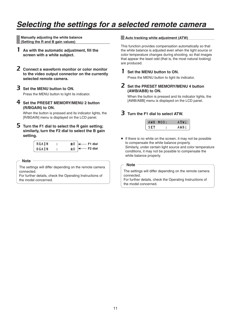**Manually adjusting the white balance ( Setting the R and B gain values)**

- 1 **As with the automatic adjustment, fill the screen with a white subject.**
- 2 **Connect a waveform monitor or color monitor to the video output connector on the currently selected remote camera.**

3 **Set the MENU button to ON.** Press the MENU button to light its indicator.

4 **Set the PRESET MEMORY/MENU 2 button (R/BGAIN) to ON.**

When the button is pressed and its indicator lights, the [R/BGAIN] menu is displayed on the LCD panel.

5 **Turn the F1 dial to select the R gain setting; similarly, turn the F2 dial to select the B gain setting.**

| RGAIN        | ±0 | $\leftarrow$ F1 dial |
|--------------|----|----------------------|
| <b>BGAIN</b> | ±0 | $\leftarrow$ F2 dial |

**Note**

The settings will differ depending on the remote camera connected.

For further details, check the Operating Instructions of the model concerned.

#### **Auto tracking white adjustment (ATW)**

This function provides compensation automatically so that the white balance is adjusted even when the light source or color temperature changes during shooting, so that images that appear the least odd (that is, the most natural looking) are produced.

#### 1 **Set the MENU button to ON.**

Press the MENU button to light its indicator.

#### 2 **Set the PRESET MEMORY/MENU 4 button (AWB/ABB) to ON.**

When the button is pressed and its indicator lights, the [AWB/ABB] menu is displayed on the LCD panel.

#### 3 **Turn the F1 dial to select ATW.**

|     | AWB MOD: |      |
|-----|----------|------|
| SEI |          | AWBJ |

• If there is no white on the screen, it may not be possible to compensate the white balance properly. Similarly, under certain light source and color temperature conditions, it may not be possible to compensate the white balance properly.

#### **Note**

The settings will differ depending on the remote camera connected.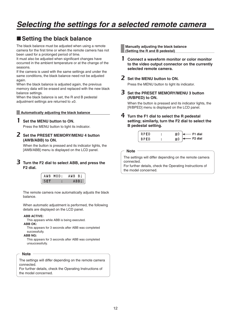## ■ Setting the black balance

The black balance must be adjusted when using a remote camera for the first time or when the remote camera has not been used for a prolonged period of time.

It must also be adjusted when significant changes have occurred in the ambient temperature or at the change of the seasons.

If the camera is used with the same settings and under the same conditions, the black balance need not be adjusted again.

When the black balance is adjusted again, the previous memory data will be erased and replaced with the new black balance settings.

When the black balance is set, the R and B pedestal adjustment settings are returned to  $\pm 0$ .

#### **Automatically adjusting the black balance**

#### 1 **Set the MENU button to ON.**

Press the MENU button to light its indicator.

#### 2 **Set the PRESET MEMORY/MENU 4 button (AWB/ABB) to ON.**

When the button is pressed and its indicator lights, the [AWB/ABB] menu is displayed on the LCD panel.

#### 3 **Turn the F2 dial to select ABB, and press the F2 dial.**

|     | AWB MOD: | AWB BI |
|-----|----------|--------|
| SFT |          | ABBJ   |

The remote camera now automatically adjusts the black balance.

When automatic adjustment is performed, the following details are displayed on the LCD panel.

#### **ABB ACTIVE:**

This appears while ABB is being executed.

#### **ABB OK:**

 This appears for 3 seconds after ABB was completed successfully.

#### **ABB NG:**

 This appears for 3 seconds after ABB was completed unsuccessfully.

#### **Note**

The settings will differ depending on the remote camera connected.

For further details, check the Operating Instructions of the model concerned.

**Manually adjusting the black balance ( Setting the R and B pedestal)**

1 **Connect a waveform monitor or color monitor to the video output connector on the currently selected remote camera.**

## 2 **Set the MENU button to ON.**

Press the MENU button to light its indicator.

3 **Set the PRESET MEMORY/MENU 3 button (R/BPED) to ON.**

When the button is pressed and its indicator lights, the [R/BPED] menu is displayed on the LCD panel.

4 **Turn the F1 dial to select the R pedestal setting; similarly, turn the F2 dial to select the B pedestal setting.**

| <b>RPFD</b> | $\leftarrow$ F1 dial<br>±0 |
|-------------|----------------------------|
| I BPED      | $\leftarrow$ F2 dial<br>±0 |

**Note**

The settings will differ depending on the remote camera connected.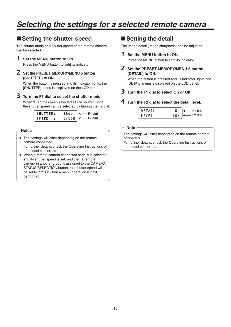## ■ Setting the shutter speed

The shutter mode and shutter speed of the remote camera can be selected.

#### 1 **Set the MENU button to ON.**

Press the MENU button to light its indicator.

#### 2 **Set the PRESET MEMORY/MENU 5 button (SHUTTER) to ON.**

When the button is pressed and its indicator lights, the [SHUTTER] menu is displayed on the LCD panel.

#### 3 **Turn the F1 dial to select the shutter mode.**

When "Step" has been selected as the shutter mode, the shutter speed can be selected by turning the F2 dial.

| SHUTTER: |  | Step $\downarrow \leftarrow$ F1 dial |
|----------|--|--------------------------------------|
| SPEED    |  | $1/100$ $\leftarrow$ F2 dial         |

#### **Notes**

- The settings will differ depending on the remote camera connected. For further details, check the Operating Instructions of the model concerned.
- When a remote camera connected serially is selected and its shutter speed is set, and then a remote camera in another group is assigned to the CAMERA STATUS/SELECTION button, the shutter speed will be set to "1/100" when a menu operation is next performed.

### $\blacksquare$  **Setting the detail**

The image detail (image sharpness) can be adjusted.

#### 1 **Set the MENU button to ON.**

Press the MENU button to light its indicator.

2 **Set the PRESET MEMORY/MENU 6 button (DETAIL) to ON.**

When the button is pressed and its indicator lights, the [DETAIL] menu is displayed on the LCD panel.

3 **Turn the F1 dial to select On or Off.**

#### 4 **Turn the F2 dial to select the detail level.**

| DETAIL : |  | 0n $\leftarrow$ F1 dial  |
|----------|--|--------------------------|
| LEVEL :  |  | $LOW \leftarrow$ F2 dial |

#### **Note**

The settings will differ depending on the remote camera connected.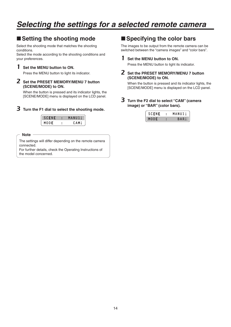## ■ Setting the shooting mode

Select the shooting mode that matches the shooting conditions.

Select the mode according to the shooting conditions and your preferences.

#### 1 **Set the MENU button to ON.**

Press the MENU button to light its indicator.

#### 2 **Set the PRESET MEMORY/MENU 7 button (SCENE/MODE) to ON.**

When the button is pressed and its indicator lights, the [SCENE/MODE] menu is displayed on the LCD panel.

#### 3 **Turn the F1 dial to select the shooting mode.**



**Note**

The settings will differ depending on the remote camera connected.

For further details, check the Operating Instructions of the model concerned.

## **Specifying the color bars**

The images to be output from the remote camera can be switched between the "camera images" and "color bars".

1 **Set the MENU button to ON.**

Press the MENU button to light its indicator.

2 **Set the PRESET MEMORY/MENU 7 button (SCENE/MODE) to ON.**

When the button is pressed and its indicator lights, the [SCENE/MODE] menu is displayed on the LCD panel.

3 **Turn the F2 dial to select "CAM" (camera image) or "BAR" (color bars).**

| <b>SCENE</b> | MANU1↓ |
|--------------|--------|
| MODE         | BARI   |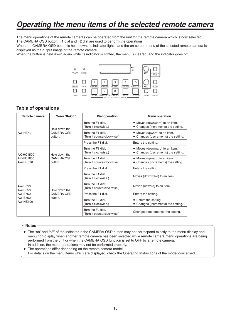## *Operating the menu items of the selected remote camera*

The menu operations of the remote cameras can be operated from the unit for the remote camera which is now selected. The CAMERA OSD button, F1 dial and F2 dial are used to perform the operations.

When the CAMERA OSD button is held down, its indicator lights, and the on-screen menu of the selected remote camera is displayed as the output image of the remote camera.

When the button is held down again while its indicator is lighted, the menu is cleared, and the indicator goes off.



#### **Table of operations**

| Remote camera                                         | <b>Menu ON/OFF</b>                            | <b>Dial operation</b>                            | <b>Menu operation</b>                                                 |
|-------------------------------------------------------|-----------------------------------------------|--------------------------------------------------|-----------------------------------------------------------------------|
|                                                       | Hold down the<br><b>CAMERA OSD</b><br>button. | Turn the F1 dial.<br>(Turn it clockwise.)        | • Moves (downward) to an item.<br>• Changes (increments) the setting. |
| AW-HF50                                               |                                               | Turn the F1 dial.<br>(Turn it counterclockwise.) | • Moves (upward) to an item.<br>• Changes (decrements) the setting.   |
|                                                       |                                               | Press the F1 dial                                | Enters the setting.                                                   |
| AK-HC1500                                             | Hold down the                                 | Turn the F1 dial.<br>(Turn it clockwise.)        | • Moves (downward) to an item.<br>• Changes (decrements) the setting. |
| AK-HC1800<br><b>CAMERA OSD</b><br>AW-HE870<br>button. |                                               | Turn the F1 dial.<br>(Turn it counterclockwise.) | • Moves (upward) to an item.<br>• Changes (increments) the setting.   |
|                                                       |                                               | Press the F1 dial.                               | Enters the setting.                                                   |
|                                                       | Hold down the<br>CAMERA OSD<br>button.        | Turn the F1 dial.<br>(Turn it clockwise.)        | Moves (downward) to an item.                                          |
| AW-E350<br>AW-E650<br>AW-E750<br>AW-E860<br>AW-HE100  |                                               | Turn the F1 dial.<br>(Turn it counterclockwise.) | Moves (upward) to an item.                                            |
|                                                       |                                               | Press the F1 dial.                               | Enters the setting.                                                   |
|                                                       |                                               | Turn the F2 dial.<br>(Turn it clockwise.)        | • Enters the setting.<br>• Changes (increments) the setting.          |
|                                                       |                                               | Turn the F2 dial.<br>(Turn it counterclockwise.) | Changes (decrements) the setting.                                     |

#### **Notes**

 The "on" and "off" of the indicator in the CAMERA OSD button may not correspond exactly to the menu display and menu non-display when another remote camera has been selected while remote camera menu operations are being performed from the unit or when the CAMERA OSD function is set to OFF by a remote camera. In addition, the menu operations may not be performed properly.

The operations differ depending on the remote camera model.

For details on the menu items which are displayed, check the Operating Instructions of the model concerned.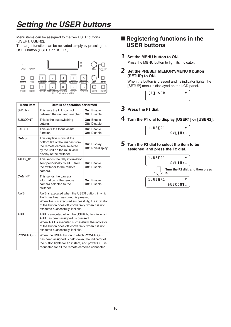# *Setting the USER buttons*

Menu items can be assigned to the two USER buttons (USER1, USER2).

The target function can be activated simply by pressing the USER button (USER1 or USER2).



| <b>Menu</b> item | Details of operation performed                                                                                                                                                                                                      |                                          |  |
|------------------|-------------------------------------------------------------------------------------------------------------------------------------------------------------------------------------------------------------------------------------|------------------------------------------|--|
| <b>SWLINK</b>    | This sets the link control<br>between the unit and switcher.                                                                                                                                                                        | On: Enable<br><b>Off: Disable</b>        |  |
| <b>BUSCONT</b>   | This is the bus switching<br>setting.                                                                                                                                                                                               | On: Enable<br><b>Off: Disable</b>        |  |
| <b>FASIST</b>    | This sets the focus assist<br>function.                                                                                                                                                                                             | On: Enable<br>Off: Disable               |  |
| <b>CAMSEL</b>    | This displays icons at the<br>bottom left of the images from<br>the remote camera selected<br>by the unit on the multi view<br>display of the switcher.                                                                             | On: Display<br>Off: Non-display          |  |
| TALLY IP         | This sends the tally information<br>sent periodically by UDP from<br>the switcher to the remote<br>camera.                                                                                                                          | <b>On: Fnable</b><br><b>Off: Disable</b> |  |
| CAMINF           | This sends the camera<br>information of the remote<br>camera selected to the<br>switcher.                                                                                                                                           | On: Enable<br><b>Off: Disable</b>        |  |
| <b>AWB</b>       | AWB is executed when the USER button, in which<br>AWB has been assigned, is pressed.<br>When AWB is executed successfully, the indicator<br>of the button goes off; conversely, when it is not<br>executed successfully, it blinks. |                                          |  |
| ABB              | ABB is executed when the USER button, in which<br>ABB has been assigned, is pressed.<br>When ABB is executed successfully, the indicator<br>of the button goes off; conversely, when it is not<br>executed successfully, it blinks. |                                          |  |
| POWER OFF        | When the USER button in which POWER OFF<br>has been assigned is held down, the indicator of<br>the button lights for an instant, and power OFF is<br>requested for all the remote cameras connected.                                |                                          |  |

## ■ Registering functions in the **USER buttons**

#### 1 **Set the MENU button to ON.**

Press the MENU button to light its indicator.

2 **Set the PRESET MEMORY/MENU 9 button (SETUP) to ON.**

When the button is pressed and its indicator lights, the [SETUP] menu is displayed on the LCD panel.



- 3 **Press the F1 dial.**
- 4 **Turn the F1 dial to display [USER1] or [USER2].**



5 **Turn the F2 dial to select the item to be assigned, and press the F2 dial.**

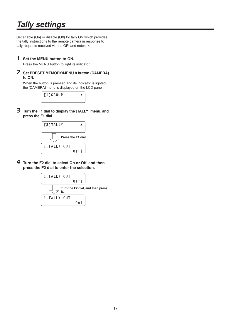# *Tally settings*

Set enable (On) or disable (Off) for tally ON which provides the tally instructions to the remote camera in response to tally requests received via the GPI and network.

#### 1 **Set the MENU button to ON.**

Press the MENU button to light its indicator.

#### 2 **Set PRESET MEMORY/MENU 8 button (CAMERA) to ON.**

When the button is pressed and its indicator is lighted, the [CAMERA] menu is displayed on the LCD panel.

| [1]GROUP |  |
|----------|--|
|          |  |

3 **Turn the F1 dial to display the [TALLY] menu, and press the F1 dial.**



4 **Turn the F2 dial to select On or Off, and then press the F2 dial to enter the selection.**

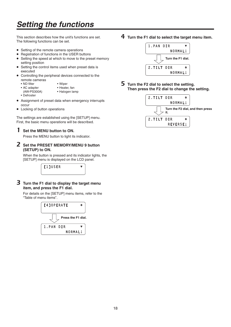# *Setting the functions*

This section describes how the unit's functions are set. The following functions can be set.

- Setting of the remote camera operations
- Registration of functions in the USER buttons
- Setting the speed at which to move to the preset memory setting position
- Setting the control items used when preset data is executed
- Controlling the peripheral devices connected to the remote cameras
	- ND filter
- Wiper • Heater, fan
- AC adapter
	- (AW-PS300A)
- Halogen lamp
- Defroster
- Assignment of preset data when emergency interrupts occur
- Locking of button operations

The settings are established using the [SETUP] menu. First, the basic menu operations will be described.

#### 1 **Set the MENU button to ON.**

Press the MENU button to light its indicator.

#### 2 **Set the PRESET MEMORY/MENU 9 button (SETUP) to ON.**

When the button is pressed and its indicator lights, the [SETUP] menu is displayed on the LCD panel.



3 **Turn the F1 dial to display the target menu item, and press the F1 dial.**

For details on the [SETUP] menu items, refer to the "Table of menu items".



4 **Turn the F1 dial to select the target menu item.**



5 **Turn the F2 dial to select the setting. Then press the F2 dial to change the setting.**

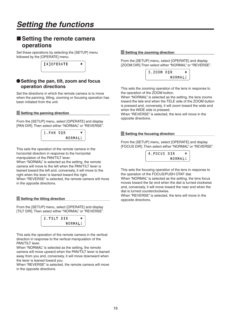### ■ Setting the remote camera **operations**

Set these operations by selecting the [SETUP] menu followed by the [OPERATE] menu.

| <b>14]OPERATE</b> |  |
|-------------------|--|
|                   |  |

#### **Setting the pan, tilt, zoom and focus operation directions**

Set the directions in which the remote camera is to move when the panning, tilting, zooming or focusing operation has been initiated from the unit.

#### **Setting the panning direction**

From the [SETUP] menu, select [OPERATE] and display [PAN DIR]. Then select either "NORMAL" or "REVERSE".



This sets the operation of the remote camera in the horizontal direction in response to the horizontal manipulation of the PAN/TILT lever.

When "NORMAL" is selected as the setting, the remote camera will move to the left when the PAN/TILT lever is leaned toward the left and, conversely, it will move to the right when the lever is leaned toward the right. When "REVERSE" is selected, the remote camera will move in the opposite directions.

#### **Setting the tilting direction**

From the [SETUP] menu, select [OPERATE] and display [TILT DIR]. Then select either "NORMAL" or "REVERSE".

| . | DIR     | ≜ |
|---|---------|---|
|   | NORMALI |   |

This sets the operation of the remote camera in the vertical direction in response to the vertical manipulation of the PAN/TILT lever.

When "NORMAL" is selected as the setting, the remote camera will move upward when the PAN/TILT lever is leaned away from you and, conversely, it will move downward when the lever is leaned toward you.

When "REVERSE" is selected, the remote camera will move in the opposite directions.

#### **Setting the zooming direction**

From the [SETUP] menu, select [OPERATE] and display [ZOOM DIR].Then select either "NORMAL" or "REVERSE".



This sets the zooming operation of the lens in response to the operation of the ZOOM button.

When "NORMAL" is selected as the setting, the lens zooms toward the tele end when the TELE side of the ZOOM button is pressed and, conversely, it will zoom toward the wide end when the WIDE side is pressed.

When "REVERSE" is selected, the lens will move in the opposite directions.

#### **Setting the focusing direction**

From the [SETUP] menu, select [OPERATE] and display [FOCUS DIR]. Then select either "NORMAL" or "REVERSE".



This sets the focusing operation of the lens in response to the operation of the FOCUS/PUSH OTAF dial.

When "NORMAL" is selected as the setting, the lens focus moves toward the far end when the dial is turned clockwise and, conversely, it will move toward the near end when the dial is turned counterclockwise.

When "REVERSE" is selected, the lens will move in the opposite directions.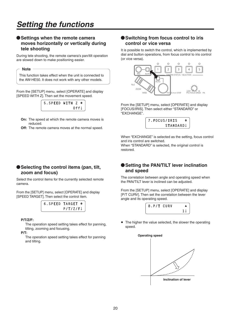## *Setting the functions*

#### **Settings when the remote camera moves horizontally or vertically during tele shooting**

During tele shooting, the remote camera's pan/tilt operation are slowed down to make positioning easier.

#### **Note**

This function takes effect when the unit is connected to the AW-HE50. It does not work with any other models.

From the [SETUP] menu, select [OPERATE] and display [SPEED WITH Z]. Then set the movement speed.



**On:** The speed at which the remote camera moves is reduced.

**Off:** The remote camera moves at the normal speed.

#### **Selecting the control items (pan, tilt, zoom and focus)**

Select the control items for the currently selected remote camera.

From the [SETUP] menu, select [OPERATE] and display [SPEED TARGET]. Then select the control item.



#### **P/T/Z/F:**

 The operation speed setting takes effect for panning, tilting, zooming and focusing.

**P/T:**

 The operation speed setting takes effect for panning and tilting.

#### **Switching from focus control to iris control or vice versa**

It is possible to switch the control, which is implemented by dial and button operations, from focus control to iris control (or vice versa).



From the [SETUP] menu, select [OPERATE] and display [FOCUS/IRIS]. Then select either "STANDARD" or "EXCHANGE".



When "EXCHANGE" is selected as the setting, focus control and iris control are switched.

When "STANDARD" is selected, the original control is restored.

#### **Setting the PAN/TILT lever inclination and speed**

The correlation between angle and operating speed when the PAN/TILT lever is inclined can be adjusted.

From the [SETUP] menu, select [OPERATE] and display [P/T CURV]. Then set the correlation between the lever angle and its operating speed.



 The higher the value selected, the slower the operating speed.

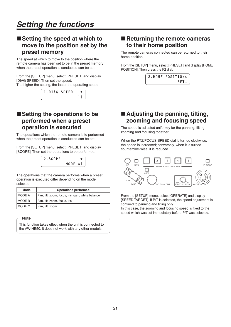## ■ Setting the speed at which to **move to the position set by the preset memory**

The speed at which to move to the position where the remote camera has been set to be in the preset memory when the preset operation is conducted can be set.

From the [SETUP] menu, select [PRESET] and display [DIAG SPEED]. Then set the speed.

The higher the setting, the faster the operating speed.

| 1.DIAG SPEED |  |
|--------------|--|
|              |  |

## ■ Setting the operations to be **performed when a preset operation is executed**

The operations which the remote camera is to performed when the preset operation is conducted can be set.

From the [SETUP] menu, select [PRESET] and display [SCOPE]. Then set the operations to be performed.



The operations that the camera performs when a preset operation is executed differ depending on the mode selected.

| Mode          | <b>Operations performed</b>                       |  |  |
|---------------|---------------------------------------------------|--|--|
| <b>MODE A</b> | Pan, tilt, zoom, focus, iris, gain, white balance |  |  |
| MODE B        | Pan, tilt, zoom, focus, iris                      |  |  |
| MODE C        | Pan, tilt, zoom                                   |  |  |

#### **Note**

This function takes effect when the unit is connected to the AW-HE50. It does not work with any other models.

### ■ Returning the remote cameras **to their home position**

The remote cameras connected can be returned to their home position.

From the [SETUP] menu, select [PRESET] and display [HOME POSITION]. Then press the F2 dial.



### ■ Adjusting the panning, tilting, **zooming and focusing speed**

The speed is adjusted uniformly for the panning, tilting, zooming and focusing together.

When the PTZ/FOCUS SPEED dial is turned clockwise, the speed is increased; conversely, when it is turned counterclockwise, it is reduced.



From the [SETUP] menu, select [OPERATE] and display [SPEED TARGET]. If P/T is selected, the speed adjustment is confined to panning and tilting only.

In this case, the zooming and focusing speed is fixed to the speed which was set immediately before P/T was selected.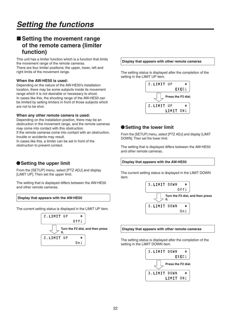## **Setting the movement range of the remote camera (limiter function)**

This unit has a limiter function which is a function that limits the movement range of the remote cameras. There are four limiter positions: the upper, lower, left and right limits of the movement range.

#### **When the AW-HE50 is used:**

Depending on the nature of the AW-HE50's installation location, there may be some subjects inside its movement range which it is not desirable or necessary to shoot. In cases like this, the shooting range of the AW-HE50 can be limited by setting limiters in front of those subjects which are not to be shot.

#### **When any other remote camera is used:**

Depending on the installation position, there may be an obstruction in the movement range, and the remote cameras may come into contact with this obstruction.

If the remote cameras come into contact with an obstruction, trouble or accidents may result.

In cases like this, a limiter can be set in front of the obstruction to prevent contact.

#### **Setting the upper limit**

From the [SETUP] menu, select [PTZ ADJ] and display [LIMIT UP]. Then set the upper limit.

The setting that is displayed differs between the AW-HE50 and other remote cameras.

#### **Display that appears with the AW-HE50**

The current setting status is displayed in the LIMIT UP item.



#### **Display that appears with other remote cameras**

The setting status is displayed after the completion of the setting in the LIMIT UP item.



#### **Setting the lower limit**

From the [SETUP] menu, select [PTZ ADJ] and display [LIMIT DOWN]. Then set the lower limit.

The setting that is displayed differs between the AW-HE50 and other remote cameras.

#### **Display that appears with the AW-HE50**

The current setting status is displayed in the LIMIT DOWN item.



#### **Display that appears with other remote cameras**

The setting status is displayed after the completion of the setting in the LIMIT DOWN item.

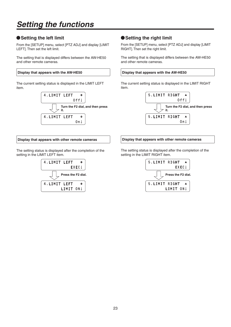# *Setting the functions*

### **Setting the left limit**

From the [SETUP] menu, select [PTZ ADJ] and display [LIMIT LEFT]. Then set the left limit.

The setting that is displayed differs between the AW-HE50 and other remote cameras.

#### **Display that appears with the AW-HE50**

The current setting status is displayed in the LIMIT LEFT item.



#### **Display that appears with other remote cameras**

The setting status is displayed after the completion of the setting in the LIMIT LEFT item.



#### **Setting the right limit**

From the [SETUP] menu, select [PTZ ADJ] and display [LIMIT RIGHT]. Then set the right limit.

The setting that is displayed differs between the AW-HE50 and other remote cameras.

#### **Display that appears with the AW-HE50**

The current setting status is displayed in the LIMIT RIGHT item.





The setting status is displayed after the completion of the setting in the LIMIT RIGHT item.

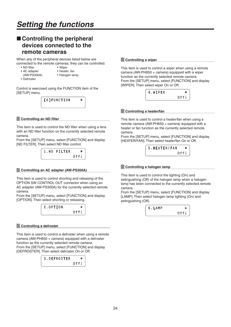■ Controlling the peripheral



lamp has been connected to the currently selected remote

 $0$ f $f \downarrow$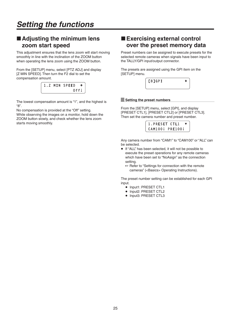## ■ Adjusting the minimum lens **zoom start speed**

This adjustment ensures that the lens zoom will start moving smoothly in line with the inclination of the ZOOM button when operating the lens zoom using the ZOOM button.

From the [SETUP] menu, select [PTZ ADJ] and display [Z MIN SPEED]. Then turn the F2 dial to set the compensation amount.

|  | 1.Z MIN SPEED       | ◆ |
|--|---------------------|---|
|  | $0$ ff $\downarrow$ |   |

The lowest compensation amount is "1", and the highest is "8".

No compensation is provided at the "Off" setting.

While observing the images on a monitor, hold down the ZOOM button slowly, and check whether the lens zoom starts moving smoothly.

## **Exercising external control over the preset memory data**

Preset numbers can be assigned to execute presets for the selected remote cameras when signals have been input to the TALLY/GPI input/output connector.

The presets are assigned using the GPI item on the [SETUP] menu.



#### **Setting the preset numbers**

From the [SETUP] menu, select [GPI], and display [PRESET CTL1], [PRESET CTL2] or [PRESET CTL3]. Then set the camera number and preset number.



Any camera number from "CAM1" to "CAM100" or "ALL" can be selected.

- If "ALL" has been selected, it will not be possible to execute the preset operations for any remote cameras which have been set to "NoAsign" as the connection setting.
	- **Refer to "Settings for connection with the remote** cameras" (<Basics> Operating Instructions).

The preset number setting can be established for each GPI input.

- Input1: PRESET CTL1
- Input2: PRESET CTL2
- Input3: PRESET CTL3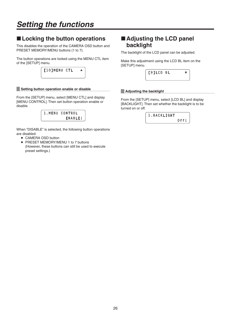# *Setting the functions*

## **Locking the button operations**

This disables the operation of the CAMERA OSD button and PRESET MEMORY/MENU buttons (1 to 7).

The button operations are locked using the MENU CTL item of the [SETUP] menu.

| [10]MENU CTL |  |
|--------------|--|
|              |  |

#### **Setting button operation enable or disable**

From the [SETUP] menu, select [MENU CTL] and display [MENU CONTROL]. Then set button operation enable or disable.



When "DISABLE" is selected, the following button operations are disabled:

- CAMERA OSD button
- PRESET MEMORY/MENU 1 to 7 buttons (However, these buttons can still be used to execute preset settings.)

## ■ Adjusting the LCD panel **backlight**

The backlight of the LCD panel can be adjusted.

Make this adjustment using the LCD BL item on the [SETUP] menu.

| [9]LCD BL |  |
|-----------|--|
|           |  |

#### **Adjusting the backlight**

From the [SETUP] menu, select [LCD BL] and display [BACKLIGHT]. Then set whether the backlight is to be turned on or off.

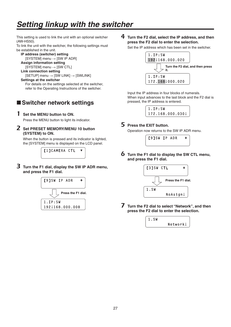# *Setting linkup with the switcher*

This setting is used to link the unit with an optional switcher (AW-HS50).

To link the unit with the switcher, the following settings must be established in the unit.

```
IP address (switcher) setting
   [SYSTEM] menu \rightarrow [SW IP ADR]
```
**Assign information setting**

```
[SYSTEM] menu \rightarrow [SW CTL]
```
**Link connection setting**

```
[SETUP] menu \rightarrow [SW LINK] \rightarrow [SWLINK]
```
**Settings at the switcher** For details on the settings selected at the switcher, refer to the Operating Instructions of the switcher.

## **Switcher network settings**

1 **Set the MENU button to ON.**

Press the MENU button to light its indicator.

2 **Set PRESET MEMORY/MENU 10 button (SYSTEM) to ON.**

When the button is pressed and its indicator is lighted, the [SYSTEM] menu is displayed on the LCD panel.

[1]CAMERA CTL

3 **Turn the F1 dial, display the SW IP ADR menu, and press the F1 dial.**



4 **Turn the F2 dial, select the IP address, and then press the F2 dial to enter the selection.**

Set the IP address which has been set in the switcher.



Input the IP address in four blocks of numerals. When input advances to the last block and the F2 dial is pressed, the IP address is entered.

> **1.IP:SW 172.168.000.030**

#### 5 **Press the EXIT button.**

Operation now returns to the SW IP ADR menu.



6 **Turn the F1 dial to display the SW CTL menu, and press the F1 dial.**



7 **Turn the F2 dial to select "Network", and then press the F2 dial to enter the selection.**

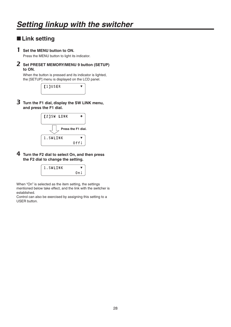## **Link setting**

#### 1 **Set the MENU button to ON.**

Press the MENU button to light its indicator.

2 **Set PRESET MEMORY/MENU 9 button (SETUP) to ON.**

When the button is pressed and its indicator is lighted, the [SETUP] menu is displayed on the LCD panel.

| [1]USER |  |
|---------|--|
|         |  |

3 **Turn the F1 dial, display the SW LINK menu, and press the F1 dial.**



4 **Turn the F2 dial to select On, and then press the F2 dial to change the setting.**



When "On" is selected as the item setting, the settings mentioned below take effect, and the link with the switcher is established.

Control can also be exercised by assigning this setting to a USER button.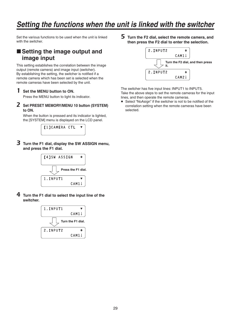Set the various functions to be used when the unit is linked with the switcher.

## ■ Setting the image output and **image input**

This setting establishes the correlation between the image output (remote camera) and image input (switcher). By establishing the setting, the switcher is notified if a remote camera which has been set is selected when the remote cameras have been selected by the unit.

#### 1 **Set the MENU button to ON.**

Press the MENU button to light its indicator.

2 **Set PRESET MEMORY/MENU 10 button (SYSTEM) to ON.**

When the button is pressed and its indicator is lighted, the [SYSTEM] menu is displayed on the LCD panel.



3 **Turn the F1 dial, display the SW ASSIGN menu, and press the F1 dial.**



4 **Turn the F1 dial to select the input line of the switcher.**



5 **Turn the F2 dial, select the remote camera, and then press the F2 dial to enter the selection.**



The switcher has five input lines: INPUT1 to INPUT5. Take the above steps to set the remote cameras for the input lines, and then operate the remote cameras.

 Select "NoAsign" if the switcher is not to be notified of the correlation setting when the remote cameras have been selected.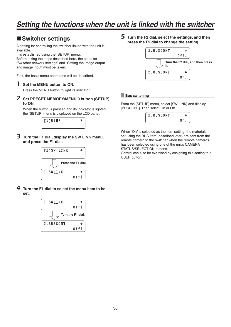## **Switcher settings**

A setting for controlling the switcher linked with the unit is available.

It is established using the [SETUP] menu.

Before taking the steps described here, the steps for "Switcher network settings" and "Setting the image output and image input" must be taken.

First, the basic menu operations will be described.

#### 1 **Set the MENU button to ON.**

Press the MENU button to light its indicator.

2 **Set PRESET MEMORY/MENU 9 button (SETUP) to ON.**

When the button is pressed and its indicator is lighted. the [SETUP] menu is displayed on the LCD panel.



3 **Turn the F1 dial, display the SW LINK menu, and press the F1 dial.**



4 **Turn the F1 dial to select the menu item to be set.**



5 **Turn the F2 dial, select the settings, and then press the F2 dial to change the setting.**



#### **Bus switching**

From the [SETUP] menu, select [SW LINK] and display [BUSCONT]. Then select On or Off.



When "On" is selected as the item setting, the materials set using the BUS item (described later) are sent from the remote camera to the switcher when the remote cameras has been selected using one of the unit's CAMERA STATUS/SELECTION buttons.

Control can also be exercised by assigning this setting to a USER button.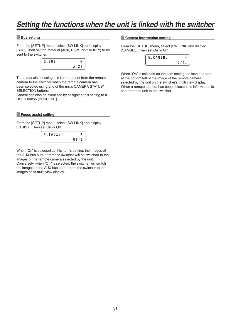#### **Bus setting**

From the [SETUP] menu, select [SW LINK] and display [BUS]. Then set the material (AUX, PVW, PinP or KEY) to be sent to the switcher.



The materials set using this item are sent from the remote camera to the switcher when the remote camera has been selected using one of the unit's CAMERA STATUS/ SELECTION buttons.

Control can also be exercised by assigning this setting to a USER button (BUSCONT).

#### **Focus assist setting**

From the [SETUP] menu, select [SW LINK] and display [FASIST]. Then set On or Off.

| 4. FASIST | ≜                   |
|-----------|---------------------|
|           | $0$ ff $\downarrow$ |

When "On" is selected as this item's setting, the images of the AUX bus output from the switcher will be switched to the images of the remote camera selected by the unit. Conversely, when "Off" is selected, the switcher will switch the images of the AUX bus output from the switcher to the images of its multi view display.

#### **Camera information setting**

From the [SETUP] menu, select [SW LINK] and display [CAMSEL]. Then set On or Off.



When "On" is selected as the item setting, an icon appears at the bottom left of the image of the remote camera selected by the unit on the switcher's multi view display. When a remote camera has been selected, its information is sent from the unit to the switcher.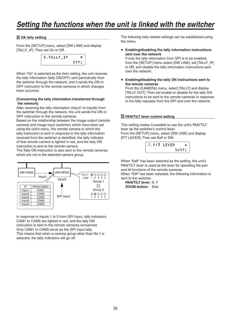#### **OA tally setting**

From the [SETUP] menu, select [SW LINK] and display [TALLY IP]. Then set On or Off.



When "On" is selected as the item setting, the unit receives the tally information (tally ON/OFF) sent periodically from the switcher through the network, and it sends the ON or OFF instruction to the remote cameras in which changes have occurred.

#### **[ Concerning the tally information transferred through the network]**

After receiving the tally information (Input1 to Input5) from the switcher through the network, the unit sends the ON or OFF instruction to the remote cameras.

Based on the relationship between the image output (remote camera) and image input (switcher) which have been set using the unit's menu, the remote camera to which the tally instruction is sent in response to the tally information received from the switcher is identified, the tally indicator of that remote camera is lighted in red, and the tally ON instruction is sent to the remote camera.

The Tally ON instruction is also sent to the remote cameras which are not in the selected camera group.



In response to inputs 1 to 5 from GPI Input, tally indicators CAM1 to CAM5 are lighted in red, and the tally ON instruction is sent to the remote cameras concerned. Only CAM1 to CAM5 serve as the GPI Input tally. This means that when a camera group other than No.1 is selected, the tally indicators will go off.

The following tally-related settings can be established using the menu.

 **Enabling/disabling the tally information instructions sent over the network**

If only the tally information from GPI is to be enabled, from the [SETUP] menu select [SW LINK], set [TALLY\_IP] to Off, and disable the tally information instructions sent over the network.

 **Enabling/disabling the tally ON instructions sent to the remote cameras**

From the [CAMERA] menu, select [TALLY] and display [TALLY OUT]. Then set enable or disable for the tally ON instructions to be sent to the remote cameras in response to the tally requests from the GPI and over the network.

#### **PAN/TILT lever control setting**

This setting makes it possible to use the unit's PAN/TILT lever as the switcher's control lever. From the [SETUP] menu, select [SW LINK] and display [P/T LEVER]. Then set Self or SW.



When "Self" has been selected as the setting, the unit's PAN/TILT lever is used as the lever for operating the pan and tilt functions of the remote cameras.

When "SW" has been selected, the following information is sent to the switcher.

**PAN/TILT lever:** X, Y **ZOOM button:** Size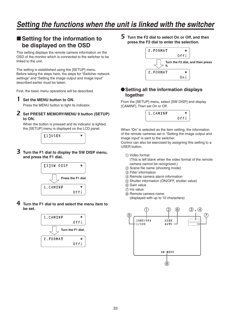## ■ Setting for the information to **be displayed on the OSD**

This setting displays the remote camera information on the OSD of the monitor which is connected to the switcher to be linked to the unit.

The setting is established using the [SETUP] menu. Before taking the steps here, the steps for "Switcher network settings" and "Setting the image output and image input" described earlier must be taken.

First, the basic menu operations will be described.

#### 1 **Set the MENU button to ON.**

Press the MENU button to light its indicator.

2 **Set PRESET MEMORY/MENU 9 button (SETUP) to ON.**

When the button is pressed and its indicator is lighted, the [SETUP] menu is displayed on the LCD panel.



3 **Turn the F1 dial to display the SW DISP menu, and press the F1 dial.**



4 **Turn the F1 dial to and select the menu item to be set.**



5 **Turn the F2 dial to select On or Off, and then press the F2 dial to enter the selection.**



#### **Setting all the information displays together**

From the [SETUP] menu, select [SW DISP] and display [CAMINF]. Then set On or Off.



When "On" is selected as the item setting, the information of the remote cameras set in "Setting the image output and image input" is sent to the switcher.

Control can also be exercised by assigning this setting to a USER button.

Video format

 (This is left blank when the video format of the remote camera cannot be recognized.)

- (2) Scene file name (shooting mode)
- Filter information
- (4) Remote camera alarm information
- $\overline{6}$ ) Shutter information (ON/OFF, shutter value)
- $(6)$  Gain value
- (7) Iris value
- $\dddot{\text{B}}$  Remote camera name

(displayed with up to 10 characters)

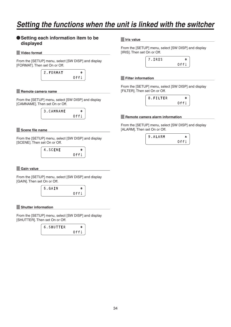#### **Setting each information item to be displayed**

**Video format**

From the [SETUP] menu, select [SW DISP] and display [FORMAT]. Then set On or Off.

| 2. FORMAT |      |
|-----------|------|
|           | 0ffl |

#### **Remote camera name**

From the [SETUP] menu, select [SW DISP] and display [CAMNAME]. Then set On or Off.



#### **Scene file name**

From the [SETUP] menu, select [SW DISP] and display [SCENE]. Then set On or Off.



#### **Gain value**

From the [SETUP] menu, select [SW DISP] and display [GAIN]. Then set On or Off.

$$
\begin{array}{c|c}\n5. \text{GAIN} & \rightarrow \\
\hline\n0 \text{ff} \downarrow\n\end{array}
$$

#### **Shutter information**

From the [SETUP] menu, select [SW DISP] and display [SHUTTER]. Then set On or Off.

| 6.SHUTTER |      |
|-----------|------|
|           | Off. |

#### **Iris value**

From the [SETUP] menu, select [SW DISP] and display [IRIS]. Then set On or Off.



#### **Filter information**

From the [SETUP] menu, select [SW DISP] and display [FILTER]. Then set On or Off.

| 8.FILTER | ◓                   |
|----------|---------------------|
|          | $0$ ff $\downarrow$ |

#### **Remote camera alarm information**

From the [SETUP] menu, select [SW DISP] and display [ALARM]. Then set On or Off.

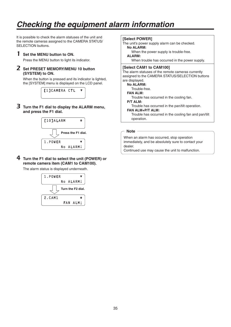# *Checking the equipment alarm information*

It is possible to check the alarm statuses of the unit and the remote cameras assigned to the CAMERA STATUS/ SELECTION buttons.

#### 1 **Set the MENU button to ON.**

Press the MENU button to light its indicator.

#### 2 **Set PRESET MEMORY/MENU 10 button (SYSTEM) to ON.**

When the button is pressed and its indicator is lighted, the [SYSTEM] menu is displayed on the LCD panel.



3 **Turn the F1 dial to display the ALARM menu, and press the F1 dial.**



4 **Turn the F1 dial to select the unit (POWER) or remote camera item (CAM1 to CAM100).**

The alarm status is displayed underneath.



**[Select POWER]**

The unit's power supply alarm can be checked. **No ALARM:**

When the power supply is trouble-free.

**ALARM:** When trouble has occurred in the power supply.

#### **[Select CAM1 to CAM100]**

The alarm statuses of the remote cameras currently assigned to the CAMERA STATUS/SELECTION buttons are displayed.

#### **No ALARM:**

Trouble-free.

**FAN ALM:**

Trouble has occurred in the cooling fan.

#### **P/T ALM:**

Trouble has occurred in the pan/tilt operation.

#### **FAN ALM+P/T ALM:**

 Trouble has occurred in the cooling fan and pan/tilt operation.

#### **Note**

When an alarm has occurred, stop operation immediately, and be absolutely sure to contact your dealer.

Continued use may cause the unit to malfunction.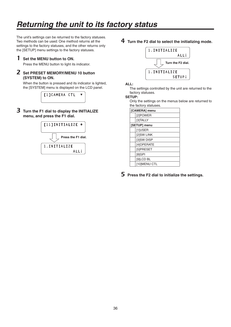# *Returning the unit to its factory status*

The unit's settings can be returned to the factory statuses. Two methods can be used: One method returns all the settings to the factory statuses, and the other returns only the [SETUP] menu settings to the factory statuses.

#### 1 **Set the MENU button to ON.**

Press the MENU button to light its indicator.

#### 2 **Set PRESET MEMORY/MENU 10 button (SYSTEM) to ON.**

When the button is pressed and its indicator is lighted, the [SYSTEM] menu is displayed on the LCD panel.



3 **Turn the F1 dial to display the INITIALIZE menu, and press the F1 dial.**



4 **Turn the F2 dial to select the initializing mode.**



#### **ALL:**

 The settings controlled by the unit are returned to the factory statuses.

#### **SETUP:**

 Only the settings on the menus below are returned to the factory statuses.

| [CAMERA] menu |
|---------------|
| [2]POWER      |
| [3]TALLY      |
| [SETUP] menu  |
| [1]USER       |
| [2]SW LINK    |
| [3]SW DISP    |
| [4]OPERATE    |
| [5]PRESET     |
| [8]GPI        |
| [9]LCD BL     |
| [10]MENU CTL  |

5 **Press the F2 dial to initialize the settings.**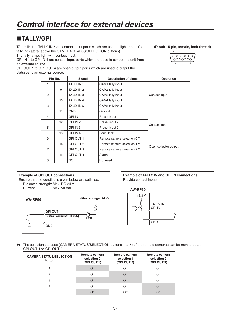## **TALLY/GPI**

TALLY IN 1 to TALLY IN 5 are contact input ports which are used to light the unit's tally indicators (above the CAMERA STATUS/SELECTION buttons).

The tally lamps light with contact input.

GPI IN 1 to GPI IN 4 are contact input ports which are used to control the unit from an external source.

GPI OUT 1 to GPI OUT 4 are open output ports which are used to output the statuses to an external source.

**(D-sub 15-pin, female, inch thread)**

| 0000000 |
|---------|
| ററററ    |
|         |

|                | Pin No.         | Signal            | <b>Description of signal</b> | Operation             |
|----------------|-----------------|-------------------|------------------------------|-----------------------|
| 1              |                 | TALLY IN 1        | CAM1 tally input             |                       |
|                | 9               | TALLY IN 2        | CAM2 tally input             |                       |
| $\mathcal{P}$  |                 | TALLY IN 3        | CAM3 tally input             | Contact input         |
|                | 10              | TALLY IN 4        | CAM4 tally input             |                       |
| 3              |                 | <b>TALLY IN 5</b> | CAM5 tally input             |                       |
|                | 11              | <b>GND</b>        | Ground                       |                       |
| 4              |                 | GPI IN 1          | Preset input 1               |                       |
|                | 12 <sup>°</sup> | GPI IN 2          | Preset input 2               |                       |
| 5              |                 | GPI IN 3          | Preset input 3               | Contact input         |
|                | 13              | GPI IN 4          | Panel lock                   |                       |
| 6              |                 | GPI OUT 1         | Remote camera selection 0 *  |                       |
|                | 14              | GPI OUT 2         | Remote camera selection 1 *  |                       |
| $\overline{7}$ |                 | GPI OUT 3         | Remote camera selection 2 *  | Open collector output |
|                | 15              | GPI OUT 4         | Alarm                        |                       |
| 8              |                 | <b>NC</b>         | Not used                     |                       |







**:** The selection statuses (CAMERA STATUS/SELECTION buttons 1 to 5) of the remote cameras can be monitored at GPI OUT 1 to GPI OUT 3.

| <b>CAMERA STATUS/SELECTION</b><br>button | Remote camera<br>selection 0<br>(GPI OUT 1) | Remote camera<br>selection 1<br>(GPI OUT 2) | Remote camera<br>selection 2<br>(GPI OUT 3) |
|------------------------------------------|---------------------------------------------|---------------------------------------------|---------------------------------------------|
|                                          | On                                          | Off                                         | Off                                         |
| 2                                        | Off                                         | On                                          | Off                                         |
| 3                                        | On                                          | On                                          | Off                                         |
| 4                                        | Off                                         | Off                                         | On                                          |
| 5                                        |                                             | Off                                         | On                                          |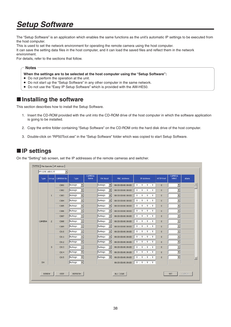The "Setup Software" is an application which enables the same functions as the unit's automatic IP settings to be executed from the host computer.

This is used to set the network environment for operating the remote camera using the host computer.

It can save the setting data files in the host computer, and it can load the saved files and reflect them in the network

environment.

For details, refer to the sections that follow.

#### **Notes**

**When the settings are to be selected at the host computer using the "Setup Software":**

- Do not perform the operation at the unit.
- Do not start up the "Setup Software" in any other computer in the same network.
- Do not use the "Easy IP Setup Software" which is provided with the AW-HE50.

## $\blacksquare$  Installing the software

This section describes how to install the Setup Software.

- 1. Insert the CD-ROM provided with the unit into the CD-ROM drive of the host computer in which the software application is going to be installed.
- 2. Copy the entire folder containing "Setup Software" on the CD-ROM onto the hard disk drive of the host computer.
- 3. Double-click on "RP50Tool.exe" in the "Setup Software" folder which was copied to start Setup Software.

## **IP settings**

On the "Setting" tab screen, set the IP addresses of the remote cameras and switcher.

| <b>Type</b> | Group          | CAMERA No        | Type    |                          | CAMERA<br>Name | SW Input                            | MAC Address       | IP Address | HTTP Port      | CAMERA<br>Select         | <b>Alarm</b> |
|-------------|----------------|------------------|---------|--------------------------|----------------|-------------------------------------|-------------------|------------|----------------|--------------------------|--------------|
|             |                | C001             | NoAsign | $\overline{\phantom{a}}$ |                | $\blacktriangledown$<br>NoAsign     | 00:00:00:00:00:00 | 0, 0, 0, 0 | $\mathbf{0}$   | $\blacktriangledown$     |              |
|             |                | C002             | NoAsign | $\overline{\phantom{a}}$ |                | $\blacktriangledown$<br>NoAsign     | 00:00:00:00:00:00 | 0, 0, 0, 0 | $\mathbf{0}$   | $\overline{\phantom{0}}$ |              |
|             | $\mathbf{1}$   | C003             | NoAsign | $\overline{\phantom{a}}$ |                | $\blacktriangledown$<br>NoAsign     | 00:00:00:00:00:00 | 0, 0, 0, 0 | $\mathbf 0$    | $\blacksquare$           |              |
|             |                | C004             | NoAsign | $\blacktriangledown$     |                | NoAsign<br>$\overline{\phantom{a}}$ | 00:00:00:00:00:00 | 0, 0, 0, 0 | $\mathbf 0$    | $\blacktriangledown$     |              |
|             |                | C005             | NoAsign | $\blacktriangledown$     |                | $\blacktriangledown$<br>NoAsign     | 00:00:00:00:00:00 | 0, 0, 0, 0 | $\overline{0}$ | $\overline{\phantom{0}}$ |              |
|             |                | C006             | NoAsign | $\overline{\phantom{a}}$ |                | NoAsign<br>$\overline{\phantom{a}}$ | 00:00:00:00:00:00 | 0.0.0.0.0  | $\overline{0}$ | $\overline{\phantom{a}}$ |              |
|             |                | C007             | NoAsign | $\blacktriangledown$     |                | $\blacktriangledown$<br>NoAsign     | 00:00:00:00:00:00 | 0.0.0.0    | $\mathbf 0$    | $\overline{\phantom{0}}$ |              |
| CAMERA      | $\overline{c}$ | C008             | NoAsign | $\overline{\phantom{a}}$ |                | NoAsign<br>$\overline{\phantom{a}}$ | 00:00:00:00:00:00 | 0, 0, 0, 0 | $\mathbf 0$    | $\blacksquare$           |              |
|             |                | C009             | NoAsign | $\blacktriangledown$     |                | $\overline{\phantom{a}}$<br>NoAsign | 00:00:00:00:00:00 | 0, 0, 0, 0 | $\Omega$       | $\blacktriangledown$     |              |
|             |                | C010             | NoAsign | $\blacktriangledown$     |                | $\overline{\phantom{a}}$<br>NoAsign | 00:00:00:00:00:00 | 0, 0, 0, 0 | $\mathbf{0}$   | $\overline{\phantom{a}}$ |              |
|             |                | C011             | NoAsign | $\blacktriangledown$     |                | NoAsign<br>$\blacktriangledown$     | 00:00:00:00:00:00 | 0, 0, 0, 0 | $\mathbf{0}$   | $\blacksquare$           |              |
|             |                | C012             | NoAsign | $\blacktriangledown$     |                | $\blacktriangledown$<br>NoAsign     | 00:00:00:00:00:00 | 0.0.0.0.0  | $\overline{0}$ | $\overline{\phantom{a}}$ |              |
|             | 3              | C013             | NoAsign | $\blacktriangledown$     |                | NoAsign<br>$\blacktriangledown$     | 00:00:00:00:00:00 | 0, 0, 0, 0 | $\mathbf 0$    | $\overline{\phantom{a}}$ |              |
|             |                | C <sub>014</sub> | NoAsign | $\blacktriangledown$     |                | NoAsign<br>$\blacktriangledown$     | 00:00:00:00:00:00 | 0, 0, 0, 0 | $\mathbf 0$    | $\blacktriangledown$     |              |
|             |                | C015             | NoAsign | $\blacktriangledown$     |                | $\blacktriangledown$<br>NoAsign     | 00:00:00:00:00:00 | 0, 0, 0, 0 | $\mathbf{0}$   | $\overline{\phantom{0}}$ |              |
| 5W          |                |                  | NoAsign | $\blacksquare$           |                |                                     | 00:00:00:00:00:00 | 0, 0, 0, 0 |                |                          |              |
|             |                |                  |         |                          |                |                                     |                   |            |                |                          |              |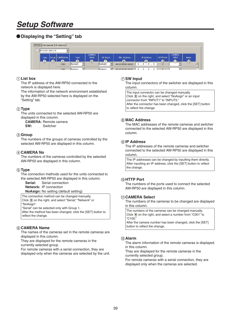### **Displaying the "Setting" tab**

| Setting File Operate   IP Address |                        |              |                                       |                           |                         |              |                                |                             |                                           |                         |                 |                  |
|-----------------------------------|------------------------|--------------|---------------------------------------|---------------------------|-------------------------|--------------|--------------------------------|-----------------------------|-------------------------------------------|-------------------------|-----------------|------------------|
|                                   | $(1)$ RP1(192.168.0.9) |              |                                       |                           |                         |              |                                |                             |                                           |                         |                 |                  |
|                                   | Type <sup>1</sup>      |              | Group   CAMERA No                     | Type:                     | CAMERA<br>Name          | SW Input     | MAC Address                    | IP Address                  | HTTP Port                                 | <b>CAMERA</b><br>Select | <b>Alarm</b>    |                  |
|                                   | $\circled{2}$          | $\mathbf{3}$ | $\left( 4\right)$<br>C <sub>001</sub> | $\overline{5}$<br>NoAsign | $\overline{\mathbf{6}}$ | ⇁<br>NoAsian | $\overline{00:00:00:00:00:00}$ | $\left(9\right)$<br>л.<br>0 | $\overline{\mathbf{0}}$<br>$\overline{0}$ |                         | $\overline{12}$ | $\blacktriangle$ |
|                                   |                        |              | C <sub>002</sub>                      | <b>NoAsian</b>            |                         | llNoAsian    | 00:00:00:00:00:00              |                             |                                           |                         |                 |                  |

#### **List box**

The IP address of the AW-RP50 connected to the network is displayed here.

The information of the network environment established by the AW-RP50 selected here is displayed on the "Setting" tab.

#### **Type**

The units connected to the selected AW-RP50 are displayed in this column.

**CAMERA:** Remote camera **SW:** Switcher

#### **Group**

The numbers of the groups of cameras controlled by the selected AW-RP50 are displayed in this column.

#### **CAMERA No**

The numbers of the cameras controlled by the selected AW-RP50 are displayed in this column.

#### **Type**

The connection methods used for the units connected to the selected AW-RP50 are displayed in this column.

**Serial:** Serial connection **Network:** IP connection

**NoAsign:** No setting (default setting)

The connection method can be changed manually. Click  $\blacktriangledown$  on the right, and select "Serial," "Network" or "NoAsign".

"Serial" can be selected only with Group 1.

After the method has been changed, click the [SET] button to reflect the change.

#### **CAMERA Name**

The names of the cameras set in the remote cameras are displayed in this column.

They are displayed for the remote cameras in the currently selected group.

For remote cameras with a serial connection, they are displayed only when the cameras are selected by the unit.

#### **SW Input**

The input connectors of the switcher are displayed in this column.

The input connector can be changed manually. Click  $\blacktriangledown$  on the right, and select "NoAsign" or an input connector from "INPUT1" to "INPUT5." After the connector has been changed, click the [SET] button to reflect the change.

#### **MAC Address**

The MAC addresses of the remote cameras and switcher connected to the selected AW-RP50 are displayed in this column.

#### **IP Address**

The IP addresses of the remote cameras and switcher connected to the selected AW-RP50 are displayed in this column.

The IP addresses can be changed by inputting them directly. After inputting an IP address, click the [SET] button to reflect the change.

#### **HTTP Port**

The numbers of the ports used to connect the selected AW-RP50 are displayed in this column.

#### **CAMERA Select**

The numbers of the cameras to be changed are displayed in this column.

The numbers of the cameras can be changed manually. Click  $\blacktriangledown$  on the right, and select a number from "C001" to "C100." After the camera number has been changed, click the [SET]

button to reflect the change.

#### **Alarm**

The alarm information of the remote cameras is displayed in this column.

They are displayed for the remote cameras in the currently selected group.

For remote cameras with a serial connection, they are displayed only when the cameras are selected.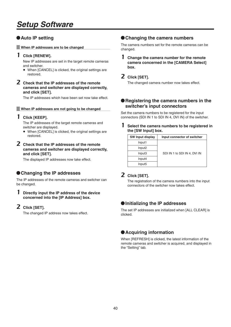### **Auto IP setting**

**When IP addresses are to be changed**

#### 1 **Click [RENEW].**

New IP addresses are set in the target remote cameras and switcher.

- When [CANCEL] is clicked, the original settings are restored.
- 2 **Check that the IP addresses of the remote cameras and switcher are displayed correctly, and click [SET].**

The IP addresses which have been set now take effect.

#### **When IP addresses are not going to be changed**

#### 1 **Click [KEEP].**

The IP addresses of the target remote cameras and switcher are displayed.

• When [CANCEL] is clicked, the original settings are restored.

#### 2 **Check that the IP addresses of the remote cameras and switcher are displayed correctly, and click [SET].**

The displayed IP addresses now take effect.

#### **Changing the IP addresses**

The IP addresses of the remote cameras and switcher can be changed.

#### 1 **Directly input the IP address of the device concerned into the [IP Address] box.**

#### 2 **Click [SET].**

The changed IP address now takes effect.

#### **Changing the camera numbers**

The camera numbers set for the remote cameras can be changed.

1 **Change the camera number for the remote camera concerned in the [CAMERA Select] box.**

#### 2 **Click [SET].**

The changed camera number now takes effect.

#### **Registering the camera numbers in the switcher's input connectors**

Set the camera numbers to be registered for the input connectors (SDI IN 1 to SDI IN 4, DVI IN) of the switcher.

1 **Select the camera numbers to be registered in the [SW Input] box.**

| <b>SW Input display</b> | Input connector of switcher  |  |  |  |
|-------------------------|------------------------------|--|--|--|
| Input1                  |                              |  |  |  |
| Input <sub>2</sub>      |                              |  |  |  |
| Input3                  | SDI IN 1 to SDI IN 4, DVI IN |  |  |  |
| Input4                  |                              |  |  |  |
| Input <sub>5</sub>      |                              |  |  |  |

### 2 **Click [SET].**

The registration of the camera numbers into the input connectors of the switcher now takes effect.

#### **Initializing the IP addresses**

The set IP addresses are initialized when [ALL CLEAR] is clicked.

#### **Acquiring information**

When [REFRESH] is clicked, the latest information of the remote cameras and switcher is acquired, and displayed in the "Setting" tab.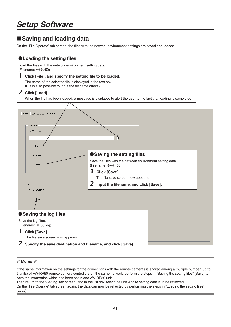## **Saving and loading data**

On the "File Operate" tab screen, the files with the network environment settings are saved and loaded.

| ● Loading the setting files                                                                                                                                                           |                                                                                                                |                                                                                                                                        |  |  |  |  |  |
|---------------------------------------------------------------------------------------------------------------------------------------------------------------------------------------|----------------------------------------------------------------------------------------------------------------|----------------------------------------------------------------------------------------------------------------------------------------|--|--|--|--|--|
| Load the files with the network environment setting data.<br>(Filename: ***.r50)                                                                                                      |                                                                                                                |                                                                                                                                        |  |  |  |  |  |
| 1<br>Click [File], and specify the setting file to be loaded.<br>The name of the selected file is displayed in the text box.<br>• It is also possible to input the filename directly. |                                                                                                                |                                                                                                                                        |  |  |  |  |  |
| <b>Z</b> Click [Load].                                                                                                                                                                |                                                                                                                |                                                                                                                                        |  |  |  |  |  |
|                                                                                                                                                                                       | When the file has been loaded, a message is displayed to alert the user to the fact that loading is completed. |                                                                                                                                        |  |  |  |  |  |
|                                                                                                                                                                                       | Setting File Operate   IP Address                                                                              |                                                                                                                                        |  |  |  |  |  |
|                                                                                                                                                                                       | <system><br/>To AW-RP50<br/>Load</system>                                                                      | File                                                                                                                                   |  |  |  |  |  |
|                                                                                                                                                                                       | From AW-RP50                                                                                                   | Saving the setting files                                                                                                               |  |  |  |  |  |
|                                                                                                                                                                                       | Save                                                                                                           | Save the files with the network environment setting data.<br>(Filename: ***.r50)<br>Click [Save].<br>The file save screen now appears. |  |  |  |  |  |
|                                                                                                                                                                                       | <log></log>                                                                                                    | 2<br>Input the filename, and click [Save].                                                                                             |  |  |  |  |  |
|                                                                                                                                                                                       | From AW-RP50<br>Save                                                                                           |                                                                                                                                        |  |  |  |  |  |
|                                                                                                                                                                                       |                                                                                                                |                                                                                                                                        |  |  |  |  |  |
| Saving the log files<br>Save the log files.<br>(Filename: RP50.log)                                                                                                                   |                                                                                                                |                                                                                                                                        |  |  |  |  |  |
| 1                                                                                                                                                                                     | Click [Save].                                                                                                  |                                                                                                                                        |  |  |  |  |  |
|                                                                                                                                                                                       | The file save screen now appears.<br>2 Specify the save destination and filename, and click [Save].            |                                                                                                                                        |  |  |  |  |  |
|                                                                                                                                                                                       |                                                                                                                |                                                                                                                                        |  |  |  |  |  |

#### **Memo**

If the same information on the settings for the connections with the remote cameras is shared among a multiple number (up to 5 units) of AW-RP50 remote camera controllers on the same network, perform the steps in "Saving the setting files" (Save) to save the information which has been set in one AW-RP50 unit.

Then return to the "Setting" tab screen, and in the list box select the unit whose setting data is to be reflected. On the "File Operate" tab screen again, the data can now be reflected by performing the steps in "Loading the setting files" (Load).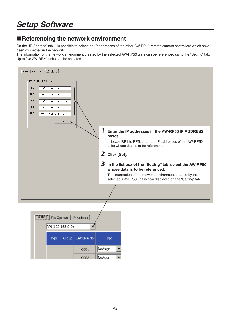## ■ Referencing the network environment

On the "IP Address" tab, it is possible to select the IP addresses of the other AW-RP50 remote camera controllers which have been connected in the network.

The information of the network environment created by the selected AW-RP50 units can be referenced using the "Setting" tab. Up to five AW-RP50 units can be selected.

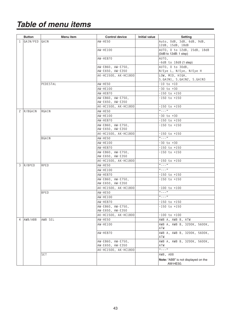|              | <b>Button</b> | Menu item   | <b>Control device</b>                 | Initial value | <b>Setting</b>                                         |
|--------------|---------------|-------------|---------------------------------------|---------------|--------------------------------------------------------|
| $\mathbf{1}$ | GAIN/PED GAIN |             | AW-HE50                               |               | Auto, OdB, 3dB, 6dB, 9dB,                              |
|              |               |             |                                       |               | 12dB, 15dB, 18dB                                       |
|              |               |             | AW-HE100                              |               | AUTO, 0 to 12dB, 15dB, 18dB<br>$(0dB$ to 12dB: 1 step) |
|              |               |             | <b>AW-HE870</b>                       |               | AUTO,                                                  |
|              |               |             |                                       |               | $-6dB$ to $18dB$ (1 step)                              |
|              |               |             | AW-E860, AW-E750,                     |               | AUTO. 0 to 30dB.                                       |
|              |               |             | AW-E650, AW-E350                      |               | N/Eye L, N/Eye, N/Eye H                                |
|              |               |             | AK-HC1500, AK-HC1800                  |               | LOW, MID, HIGH,                                        |
|              |               |             |                                       |               | S.GAIN1, S.GAIN2, S.GAIN3                              |
|              |               | PEDESTAL    | AW-HE50<br>AW-HE100                   |               | $-10$ to $+10$<br>$-30$ to $+30$                       |
|              |               |             | <b>AW-HE870</b>                       |               | -150 to +150                                           |
|              |               |             | AW-E860, AW-E750,                     |               | -150 to +150                                           |
|              |               |             | AW-E650, AW-E350                      |               |                                                        |
|              |               |             | AK-HC1500, AK-HC1800                  |               | -150 to +150                                           |
|              | 2 R/BGAIN     | RGAIN       | AW-HE50                               |               | $\frac{1}{2}$ = $\frac{1}{2}$ = $\frac{1}{2}$          |
|              |               |             | AW-HE100                              |               | -30 to +30                                             |
|              |               |             | <b>AW-HE870</b>                       |               | $-150$ to $+150$                                       |
|              |               |             | AW-E860, AW-E750,<br>AW-E650, AW-E350 |               | -150 to +150                                           |
|              |               |             | AK-HC1500, AK-HC1800                  |               | -150 to +150                                           |
|              |               | BGAIN       | AW-HE50                               |               | $\frac{1}{2}$ = $\frac{1}{2}$ = $\frac{1}{2}$          |
|              |               |             | AW-HE100                              |               | -30 to +30                                             |
|              |               |             | AW-HE870                              |               | $-150$ to $+150$                                       |
|              |               |             | AW-E860, AW-E750,                     |               | -150 to +150                                           |
|              |               |             | AW-E650, AW-E350                      |               |                                                        |
|              |               |             | AK-HC1500, AK-HC1800                  |               | -150 to +150                                           |
| 3            | R/BPED        | RPED        | AW-HE50                               |               | $(1 - 1)^{1/2}$                                        |
|              |               |             | AW-HE100                              |               | $"---"$                                                |
|              |               |             | AW-HE870                              |               | -150 to +150<br>$-150$ to $+150$                       |
|              |               |             | AW-E860, AW-E750,<br>AW-E650, AW-E350 |               |                                                        |
|              |               |             | AK-HC1500, AK-HC1800                  |               | $-100$ to $+100$                                       |
|              |               | <b>BPED</b> | AW-HE50                               |               | $a_{-} = -$ "                                          |
|              |               |             | AW-HE100                              |               | $a_{-} = -$ "                                          |
|              |               |             | AW-HE870                              |               | -150 to +150                                           |
|              |               |             | AW-E860, AW-E750,<br>AW-E650, AW-E350 |               | $-150$ to $+150$                                       |
|              |               |             | AK-HC1500, AK-HC1800                  |               | -100 to +100                                           |
| 4            | AWB/ABB       | AWB SEL     | AW-HE50                               |               | AWB A, AWB B, ATW                                      |
|              |               |             | AW-HE100                              |               | AWB A, AWB B, 3200K, 5600K,                            |
|              |               |             |                                       |               | ATW                                                    |
|              |               |             | AW-HE870                              |               | AWB A, AWB B, 3200K, 5600K,<br>ATW                     |
|              |               |             | AW-E860, AW-E750,                     |               | AWB A, AWB B, 3200K, 5600K,                            |
|              |               |             | AW-E650, AW-E350                      |               | ATW                                                    |
|              |               |             | AK-HC1500, AK-HC1800                  |               | $\frac{1}{2}$ = $\frac{1}{2}$ = $\frac{1}{2}$          |
|              |               | SET         |                                       |               | AWB, ABB                                               |
|              |               |             |                                       |               | Note: "ABB" is not displayed on the<br>AW-HE50.        |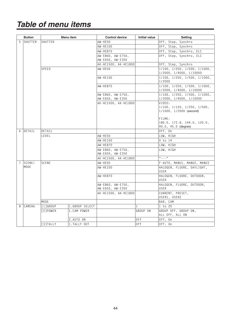|                | <b>Button</b> |              | Menu item      | <b>Control device</b>                 | <b>Initial value</b> | <b>Setting</b>                                                               |
|----------------|---------------|--------------|----------------|---------------------------------------|----------------------|------------------------------------------------------------------------------|
| 5              | SHUTTER       | SHUTTER      |                | <b>AW-HE50</b>                        |                      | Off, Step, Synchro                                                           |
|                |               |              |                | AW-HE100                              |                      | Off, Step, Synchro                                                           |
|                |               |              |                | <b>AW-HE870</b>                       |                      | Off, Step, Synchro, ELC                                                      |
|                |               |              |                | AW-E860, AW-E750,                     |                      | Off, Step, Synchro, ELC                                                      |
|                |               |              |                | AW-E650, AW-E350                      |                      |                                                                              |
|                |               |              |                | AK-HC1500, AK-HC1800                  |                      | Off, Step, Synchro                                                           |
|                |               | SPEED        |                | <b>AW-HE50</b>                        |                      | 1/100, 1/250, 1/500, 1/1000,<br>1/2000, 1/4000, 1/10000                      |
|                |               |              |                | AW-HE100                              |                      | $1/100$ , $1/250$ , $1/500$ , $1/1000$ ,<br>1/2000                           |
|                |               |              |                | AW-HE870                              |                      | $1/100$ , $1/250$ , $1/500$ , $1/1000$ ,<br>1/2000, 1/4000, 1/10000          |
|                |               |              |                | AW-E860, AW-E750,                     |                      | $1/100$ , $1/250$ , $1/500$ , $1/1000$ ,                                     |
|                |               |              |                | AW-E650, AW-E350                      |                      | 1/2000, 1/4000, 1/10000                                                      |
|                |               |              |                | AK-HC1500, AK-HC1800                  |                      | VIDEO:<br>$1/100$ , $1/120$ , $1/250$ , $1/500$ ,<br>1/1000, 1/2000 (second) |
|                |               |              |                |                                       |                      | FILME:<br>180.0, 172.8, 144.0, 120.0,<br>90.0, 45.0 (degree)                 |
| 6              | DETAIL        | DETAIL       |                |                                       |                      | Off, On                                                                      |
|                |               | LEVEL        |                | <b>AW-HE50</b>                        |                      | LOW, HIGH                                                                    |
|                |               |              |                | AW-HE100                              |                      | $0$ to $14$                                                                  |
|                |               |              |                | AW-HE870                              |                      | LOW, HIGH                                                                    |
|                |               |              |                | AW-E860, AW-E750,<br>AW-E650, AW-E350 |                      | LOW, HIGH                                                                    |
|                |               |              |                | AK-HC1500, AK-HC1800                  |                      | $\alpha$ = = $\alpha$ $\beta$                                                |
| $\overline{7}$ | SCENE/        | <b>SCENE</b> |                | <b>AW-HE50</b>                        |                      | F-AUTO, MANU1, MANU2, MANU3                                                  |
|                | MODE          |              |                | AW-HE100                              |                      | HALOGEN, FLUORE, DAYLIGHT,<br>USER                                           |
|                |               |              |                | AW-HE870                              |                      | HALOGEN, FLUORE, OUTDOOR,<br><b>USER</b>                                     |
|                |               |              |                | AW-E860, AW-E750,<br>AW-E650, AW-E350 |                      | HALOGEN, FLUORE, OUTDOOR,<br>USER                                            |
|                |               |              |                | AK-HC1500, AK-HC1800                  |                      | CURRENT, PRESET,<br>USER1, USER2                                             |
|                |               | <b>MODE</b>  |                |                                       |                      | BAR, CAM                                                                     |
| 8              | CAMERA        | [1]GROUP     | 1.GROUP SELECT |                                       | $\mathbf{1}$         | $1$ to $20$                                                                  |
|                |               | [2]POWER     | 1.CAM POWER    |                                       | GROUP ON             | GROUP OFF, GROUP ON,<br>ALL OFF, ALL ON                                      |
|                |               |              | 2.AUTO ON      |                                       | $0f$ f               | Off, On                                                                      |
|                |               | [3] TALLY    | 1. TALLY OUT   |                                       | 0 <sub>f</sub>       | Off. On                                                                      |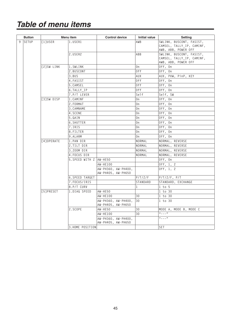| <b>Button</b> |                  | Menu item                | <b>Control device</b>                     | <b>Initial value</b> | <b>Setting</b>                                                               |
|---------------|------------------|--------------------------|-------------------------------------------|----------------------|------------------------------------------------------------------------------|
| 9 SETUP       | <b>T11USER</b>   | 1.USER1                  |                                           | AWB                  | SWLINK, BUSCONT, FASIST,<br>CAMSEL, TALLY_IP, CAMINF,<br>AWB, ABB, POWER OFF |
|               |                  | 2.USER2                  |                                           | ABB                  | SWLINK, BUSCONT, FASIST,<br>CAMSEL, TALLY_IP, CAMINF,<br>AWB, ABB, POWER OFF |
|               | [2]SW LINK       | 1.SWLINK                 |                                           | 0n                   | Off, On                                                                      |
|               |                  | 2.BUSCONT                |                                           | 0 <sub>f</sub>       | Off, On                                                                      |
|               |                  | 3.BUS                    |                                           | <b>AUX</b>           | AUX, PVW, PinP, KEY                                                          |
|               |                  | 4. FASIST                |                                           | 0 <sub>f</sub>       | Off, On                                                                      |
|               |                  | 5.CAMSEL                 |                                           | 0 <sub>f</sub>       | Off, On                                                                      |
|               |                  | 6.TALLY_IP               |                                           | 0ff                  | Off, On                                                                      |
|               |                  | 7.P/T LEVER              |                                           | Self                 | Self, SW                                                                     |
|               | [3]SW DISP       | 1.CAMINF                 |                                           | 0n                   | Off, On                                                                      |
|               |                  | 2. FORMAT                |                                           | 0 <sub>n</sub>       | Off, On                                                                      |
|               |                  | 3. CAMNAME               |                                           | 0n                   | Off, On                                                                      |
|               |                  | 4.SCENE                  |                                           | 0n                   | Off, On                                                                      |
|               |                  | 5.GAIN                   |                                           | 0n                   | Off. On                                                                      |
|               |                  | 6.SHUTTER                |                                           | 0n                   | Off, On                                                                      |
|               |                  | 7.IRIS                   |                                           | 0n                   | Off, On                                                                      |
|               |                  | 8.FILTER                 |                                           | 0n                   | Off, On                                                                      |
|               |                  | 9.ALARM                  |                                           | 0n                   | Off, On                                                                      |
|               | [4] OPERATE      | 1.PAN DIR                |                                           | NORMAL               | NORMAL, REVERSE                                                              |
|               |                  | 2.TILT DIR               |                                           | NORMAL               | NORMAL, REVERSE                                                              |
|               |                  | 3.Z00M DIR               |                                           | NORMAL               | NORMAL, REVERSE                                                              |
|               |                  | 4. FOCUS DIR             |                                           | NORMAL               | NORMAL, REVERSE                                                              |
|               |                  | 5. SPEED WITH Z  AW-HE50 |                                           |                      | Off, On                                                                      |
|               |                  |                          | AW-HE100                                  |                      | Off, 1, 2                                                                    |
|               |                  |                          | AW-PH360, AW-PH400,<br>AW-PH405, AW-PH650 |                      | Off, 1, 2                                                                    |
|               |                  | 6.SPEED TARGET           |                                           | P/T/Z/F              | $P/T/Z/F$ , $P/T$                                                            |
|               |                  | 7. FOCUS/IRIS            |                                           | STANDARD             | STANDARD, EXCHANGE                                                           |
|               |                  | 8.P/T CURV               |                                           | $\mathbf{1}$         | $1$ to $5$                                                                   |
|               | <b>[5]PRESET</b> | 1.DIAG SPEED             | AW-HE50                                   |                      | $1$ to $30$                                                                  |
|               |                  |                          | AW-HE100                                  | 30                   | 1 to 30                                                                      |
|               |                  |                          | AW-PH360, AW-PH400,<br>AW-PH405, AW-PH650 | 30                   | 1 to 30                                                                      |
|               |                  | 2.SCOPE                  | AW-HE50                                   | 30                   | MODE A, MODE B, MODE C                                                       |
|               |                  |                          | AW-HE100                                  | 30                   | $\frac{1}{2}$ = $\frac{1}{2}$ = $\frac{1}{2}$                                |
|               |                  |                          | AW-PH360, AW-PH400,<br>AW-PH405, AW-PH650 |                      | $\frac{1}{2}$ = $\frac{1}{2}$ = $\frac{1}{2}$                                |
|               |                  | 3. HOME POSITION         |                                           |                      | <b>SET</b>                                                                   |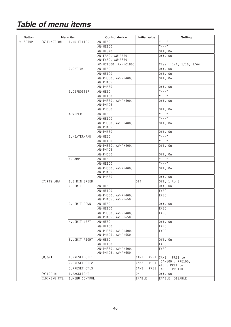| <b>Button</b> | Menu item         |                | <b>Control device</b>                     | Initial value | <b>Setting</b>                    |
|---------------|-------------------|----------------|-------------------------------------------|---------------|-----------------------------------|
| 9 SETUP       | [6] FUNCTION      | 1.ND FILTER    | AW-HE50                                   |               | $\alpha$ <sub>--</sub> "          |
|               |                   |                | AW-HE100                                  |               | $\alpha$ <sub>--</sub> "          |
|               |                   |                | <b>AW-HE870</b>                           |               | Off, On                           |
|               |                   |                | AW-E860, AW-E750,<br>AW-E650, AW-E350     |               | Off, On                           |
|               |                   |                | AK-HC1500, AK-HC1800                      |               | Clear, 1/4, 1/16, 1/64            |
|               |                   | 2.0PTION       | AW-HE50                                   |               | Off, On                           |
|               |                   |                | AW-HE100                                  |               | Off, On                           |
|               |                   |                | AW-PH360, AW-PH400,<br>AW-PH405           |               | Off, On                           |
|               |                   |                | <b>AW-PH650</b>                           |               | Off, On                           |
|               |                   | 3.DEFROSTER    | AW-HE50                                   |               | $(4 - 1)^{10}$                    |
|               |                   |                | AW-HE100                                  |               | $\alpha$ <sub>--</sub> "          |
|               |                   |                | AW-PH360, AW-PH400,<br><b>AW-PH405</b>    |               | Off, On                           |
|               |                   |                | <b>AW-PH650</b>                           |               | Off, On                           |
|               |                   | 4.WIPER        | AW-HE50                                   |               | $\alpha$ <sub>--</sub> "          |
|               |                   |                | AW-HE100                                  |               | $(4 - 1)$                         |
|               |                   |                | AW-PH360, AW-PH400,<br><b>AW-PH405</b>    |               | Off, On                           |
|               |                   |                | <b>AW-PH650</b>                           |               | Off, On                           |
|               |                   | 5.HEATER/FAN   | AW-HE50                                   |               | $(4 - 1)$                         |
|               |                   |                | AW-HE100                                  |               | $"$ - - - "                       |
|               |                   |                | AW-PH360, AW-PH400,<br>AW-PH405           |               | Off, On                           |
|               |                   |                | AW-PH650                                  |               | Off, On                           |
|               |                   | 6.LAMP         | AW-HE50                                   |               | $(4 - 1)$                         |
|               |                   |                | AW-HE100                                  |               | $a_{---}$ "                       |
|               |                   |                | AW-PH360, AW-PH400,<br>AW-PH405           |               | Off, On                           |
|               |                   |                | <b>AW-PH650</b>                           |               | Off, On                           |
|               | <b>T71PTZ ADJ</b> | 1.Z MIN SPEED  |                                           | 0ff           | Off, 1 to 8                       |
|               |                   | 2.LIMIT UP     | AW-HE50                                   |               | Off, On                           |
|               |                   |                | <b>AW-HE100</b>                           |               | EXEC                              |
|               |                   |                | AW-PH360, AW-PH400,<br>AW-PH405, AW-PH650 |               | EXEC                              |
|               |                   | 3.LIMIT DOWN   | AW-HE50                                   |               | Off, On                           |
|               |                   |                | AW-HE100                                  |               | EXEC                              |
|               |                   |                | AW-PH360, AW-PH400,<br>AW-PH405, AW-PH650 |               | EXEC                              |
|               |                   | 4.LIMIT LEFT   | AW-HE50                                   |               | Off, On                           |
|               |                   |                | AW-HE100                                  |               | EXEC                              |
|               |                   |                | AW-PH360, AW-PH400,<br>AW-PH405, AW-PH650 |               | EXEC                              |
|               |                   | 5.LIMIT RIGHT  | AW-HE50                                   |               | Off, On                           |
|               |                   |                | AW-HE100                                  |               | EXEC                              |
|               |                   |                | AW-PH360, AW-PH400,<br>AW-PH405, AW-PH650 |               | EXEC                              |
|               | [8]GPI            | 1. PRESET CTL1 |                                           | CAM1 : PRE1   | CAM1 : PRE1 to                    |
|               |                   | 2. PRESET CTL2 |                                           | CAM2 : PRE1   | CAM100 : PRE100,<br>ALL : PRE1 to |
|               |                   | 3. PRESET CTL3 |                                           | CAM3 : PRE1   | ALL : PRE100                      |
|               | [9]LCD BL         | 1.BACKLIGHT    |                                           | 0n            | Off, On                           |
|               | [10]MENU CTL      | 1.MENU CONTROL |                                           | ENABLE        | ENABLE, DISABLE                   |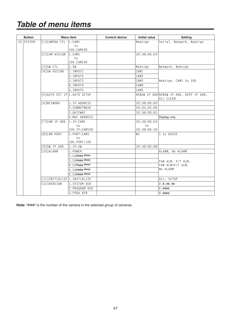|  | <b>Button</b> |                               | Menu item          | <b>Control device</b> | <b>Initial value</b> | Setting                                              |
|--|---------------|-------------------------------|--------------------|-----------------------|----------------------|------------------------------------------------------|
|  | 10 SYSTEM     | [1]CAMERA CTL                 | 1.CAM1             |                       | NoAsign              | Serial, Network, NoAsign                             |
|  |               |                               | to<br>100.CAM100   |                       |                      |                                                      |
|  |               | [2]CAM ASSIGN                 | $ 1$ . $CAM1$      |                       | 192.168.000.010      |                                                      |
|  |               |                               | to                 |                       |                      |                                                      |
|  |               |                               | 100.CAM100         |                       |                      |                                                      |
|  |               | [3]SW CTL                     | 1.5W               |                       | NoAsign              | Network, NoAsign                                     |
|  |               | [4]SW ASSIGN                  | 1.INPUT1           |                       | CAM1                 |                                                      |
|  |               |                               | 2.INPUT2           |                       | CAM2                 |                                                      |
|  |               |                               | 3.INPUT3           |                       | CAM3                 | NoAsign, CAM1 to 100                                 |
|  |               |                               | 4.INPUT4           |                       | CAM4                 |                                                      |
|  |               |                               | 5.INPUT5           |                       | CAM5                 |                                                      |
|  |               | [5] AUTO SET IP 1. AUTO SETUP |                    |                       |                      | RENEW IP ADR RENEW IP ADR, KEEP IP ADR,<br>ALL CLEAR |
|  |               | <b>F61NETWORK</b>             | 1.IP ADDRESS       |                       | 192.168.000.009      |                                                      |
|  |               |                               | 2.SUBNETMASK       |                       | 255.255.255.000      |                                                      |
|  |               |                               | 3. GATEWAY         |                       | 192.168.000.001      |                                                      |
|  |               |                               | 4.MAC ADDRESS      |                       |                      | Display only                                         |
|  |               | [7]CAM IP ADR                 | 1.F:CAM1           |                       | 192.168.000.010      |                                                      |
|  |               |                               | t <sub>0</sub>     |                       | to                   |                                                      |
|  |               |                               | 100.IP:CAM100      |                       | 192.168.000.109      |                                                      |
|  |               | <b>F81CAM PORT</b>            | 1. PORT: CAM1      |                       | 80                   | 1 to 65535                                           |
|  |               |                               | to<br>100.PORT:100 |                       |                      |                                                      |
|  |               | [9]SW IP ADR                  | 1.IP:SW            |                       | 192.168.000.008      |                                                      |
|  |               | [10]ALARM                     | 1.POWER            |                       |                      | ALARM, No ALARM                                      |
|  |               |                               | 2. CAM*** (Note)   |                       |                      |                                                      |
|  |               |                               | 3. CAM*** (Note)   |                       |                      | FAN ALM, P/T ALM,                                    |
|  |               |                               | 4. CAM*** (Note)   |                       |                      | FAN ALM+P/T ALM.                                     |
|  |               |                               | 5. CAM*** (Note)   |                       |                      | No ALARM                                             |
|  |               |                               | 6. CAM*** (Note)   |                       |                      |                                                      |
|  |               | [11] INITIALIZE 1. INITIALIZE |                    |                       |                      | ALL, SETUP                                           |
|  |               | [12] VERSION                  | 1.SYSTEM VER       |                       |                      | $V. *$ . **. **                                      |
|  |               |                               | 2.PROGRAM VER      |                       |                      | <b>V. ****</b>                                       |
|  |               |                               | 3.FPGA VER         |                       |                      | <b>V. ****</b>                                       |

Note: "\*\*\*" is the number of the camera in the selected group of cameras.